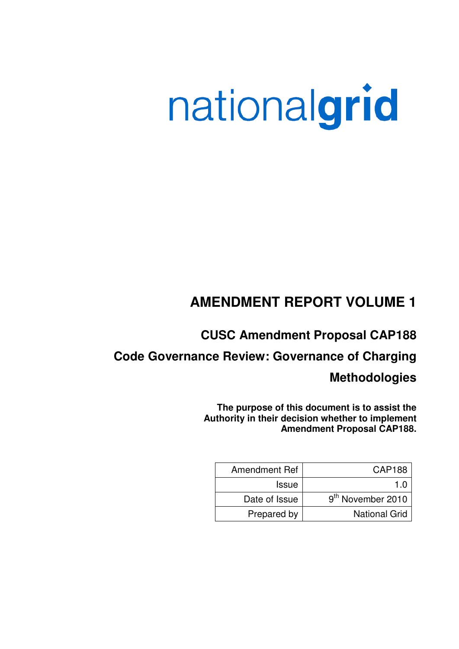# nationalgrid

# **AMENDMENT REPORT VOLUME 1**

# **CUSC Amendment Proposal CAP188**

# **Code Governance Review: Governance of Charging**

# **Methodologies**

**The purpose of this document is to assist the Authority in their decision whether to implement Amendment Proposal CAP188.**

| <b>Amendment Ref</b> | CAP188                        |
|----------------------|-------------------------------|
| <b>Issue</b>         |                               |
| Date of Issue        | 9 <sup>th</sup> November 2010 |
| Prepared by          | <b>National Grid</b>          |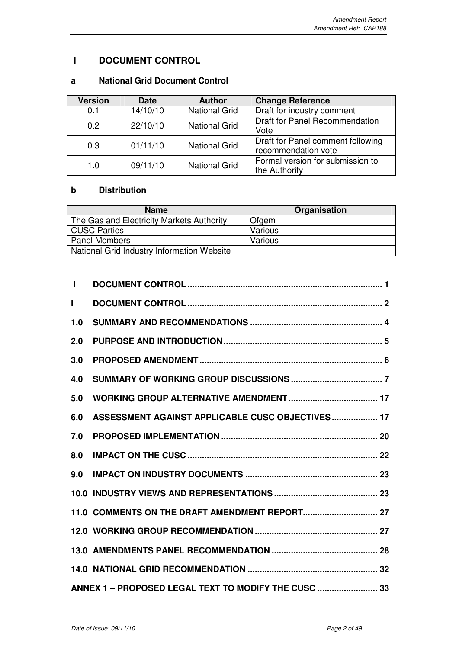# **I DOCUMENT CONTROL**

## **a National Grid Document Control**

| <b>Version</b>   | <b>Date</b> | <b>Author</b>        | <b>Change Reference</b>                                  |
|------------------|-------------|----------------------|----------------------------------------------------------|
| 0.1              | 14/10/10    | <b>National Grid</b> | Draft for industry comment                               |
| 0.2 <sub>0</sub> | 22/10/10    | <b>National Grid</b> | <b>Draft for Panel Recommendation</b><br>Vote            |
| 0.3              | 01/11/10    | <b>National Grid</b> | Draft for Panel comment following<br>recommendation vote |
| 1.0              | 09/11/10    | <b>National Grid</b> | Formal version for submission to<br>the Authority        |

## **b Distribution**

| <b>Name</b>                                | Organisation |
|--------------------------------------------|--------------|
| The Gas and Electricity Markets Authority  | Ofgem        |
| <b>CUSC Parties</b>                        | Various      |
| <b>Panel Members</b>                       | Various      |
| National Grid Industry Information Website |              |

| L            |                                                      |  |
|--------------|------------------------------------------------------|--|
| $\mathbf{I}$ |                                                      |  |
| 1.0          |                                                      |  |
| 2.0          |                                                      |  |
| 3.0          |                                                      |  |
| 4.0          |                                                      |  |
| 5.0          |                                                      |  |
| 6.0          | ASSESSMENT AGAINST APPLICABLE CUSC OBJECTIVES 17     |  |
| 7.0          |                                                      |  |
| 8.0          |                                                      |  |
| 9.0          |                                                      |  |
|              |                                                      |  |
|              |                                                      |  |
|              |                                                      |  |
|              |                                                      |  |
|              |                                                      |  |
|              | ANNEX 1 - PROPOSED LEGAL TEXT TO MODIFY THE CUSC  33 |  |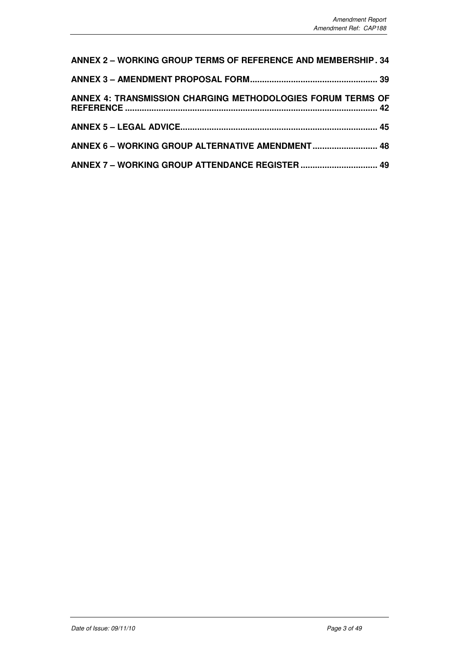| <b>ANNEX 2 - WORKING GROUP TERMS OF REFERENCE AND MEMBERSHIP. 34</b> |  |
|----------------------------------------------------------------------|--|
|                                                                      |  |
| ANNEX 4: TRANSMISSION CHARGING METHODOLOGIES FORUM TERMS OF          |  |
|                                                                      |  |
|                                                                      |  |
|                                                                      |  |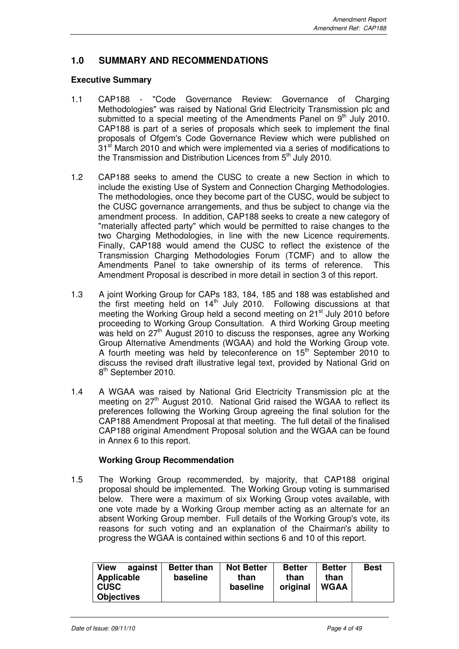## **1.0 SUMMARY AND RECOMMENDATIONS**

## **Executive Summary**

- 1.1 CAP188 "Code Governance Review: Governance of Charging Methodologies" was raised by National Grid Electricity Transmission plc and submitted to a special meeting of the Amendments Panel on  $9<sup>th</sup>$  July 2010. CAP188 is part of a series of proposals which seek to implement the final proposals of Ofgem's Code Governance Review which were published on  $31<sup>st</sup>$  March 2010 and which were implemented via a series of modifications to the Transmission and Distribution Licences from  $5<sup>th</sup>$  July 2010.
- 1.2 CAP188 seeks to amend the CUSC to create a new Section in which to include the existing Use of System and Connection Charging Methodologies. The methodologies, once they become part of the CUSC, would be subject to the CUSC governance arrangements, and thus be subject to change via the amendment process. In addition, CAP188 seeks to create a new category of "materially affected party" which would be permitted to raise changes to the two Charging Methodologies, in line with the new Licence requirements. Finally, CAP188 would amend the CUSC to reflect the existence of the Transmission Charging Methodologies Forum (TCMF) and to allow the Amendments Panel to take ownership of its terms of reference. This Amendment Proposal is described in more detail in section 3 of this report.
- 1.3 A joint Working Group for CAPs 183, 184, 185 and 188 was established and the first meeting held on  $14<sup>th</sup>$  July 2010. Following discussions at that meeting the Working Group held a second meeting on 21<sup>st</sup> July 2010 before proceeding to Working Group Consultation. A third Working Group meeting was held on  $27<sup>th</sup>$  August 2010 to discuss the responses, agree any Working Group Alternative Amendments (WGAA) and hold the Working Group vote. A fourth meeting was held by teleconference on  $15<sup>th</sup>$  September 2010 to discuss the revised draft illustrative legal text, provided by National Grid on 8<sup>th</sup> September 2010.
- 1.4 A WGAA was raised by National Grid Electricity Transmission plc at the meeting on 27<sup>th</sup> August 2010. National Grid raised the WGAA to reflect its preferences following the Working Group agreeing the final solution for the CAP188 Amendment Proposal at that meeting. The full detail of the finalised CAP188 original Amendment Proposal solution and the WGAA can be found in Annex 6 to this report.

## **Working Group Recommendation**

1.5 The Working Group recommended, by majority, that CAP188 original proposal should be implemented. The Working Group voting is summarised below. There were a maximum of six Working Group votes available, with one vote made by a Working Group member acting as an alternate for an absent Working Group member. Full details of the Working Group's vote, its reasons for such voting and an explanation of the Chairman's ability to progress the WGAA is contained within sections 6 and 10 of this report.

| <b>View</b><br>against<br>Applicable<br><b>CUSC</b><br><b>Objectives</b> | <b>Better than</b><br>baseline | <b>Not Better</b><br>than<br>baseline | <b>Better</b><br>than<br>original | <b>Better</b><br>than<br><b>WGAA</b> | <b>Best</b> |
|--------------------------------------------------------------------------|--------------------------------|---------------------------------------|-----------------------------------|--------------------------------------|-------------|
|--------------------------------------------------------------------------|--------------------------------|---------------------------------------|-----------------------------------|--------------------------------------|-------------|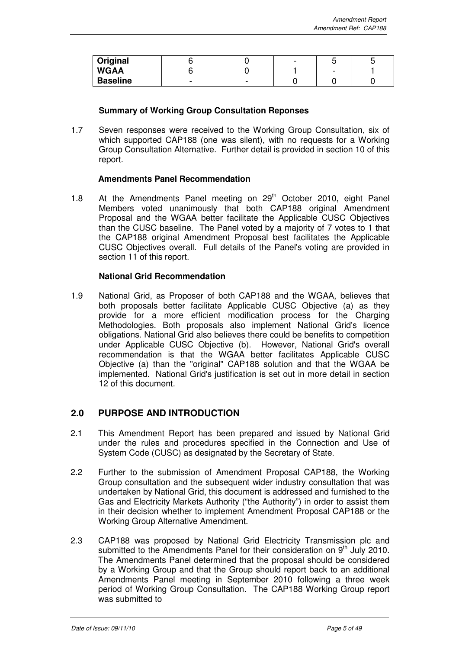| Original        |  | $\sim$ |  |
|-----------------|--|--------|--|
| <b>WGAA</b>     |  |        |  |
| <b>Baseline</b> |  |        |  |

## **Summary of Working Group Consultation Reponses**

1.7 Seven responses were received to the Working Group Consultation, six of which supported CAP188 (one was silent), with no requests for a Working Group Consultation Alternative. Further detail is provided in section 10 of this report.

## **Amendments Panel Recommendation**

1.8 At the Amendments Panel meeting on  $29<sup>th</sup>$  October 2010, eight Panel Members voted unanimously that both CAP188 original Amendment Proposal and the WGAA better facilitate the Applicable CUSC Objectives than the CUSC baseline. The Panel voted by a majority of 7 votes to 1 that the CAP188 original Amendment Proposal best facilitates the Applicable CUSC Objectives overall. Full details of the Panel's voting are provided in section 11 of this report.

## **National Grid Recommendation**

1.9 National Grid, as Proposer of both CAP188 and the WGAA, believes that both proposals better facilitate Applicable CUSC Objective (a) as they provide for a more efficient modification process for the Charging Methodologies. Both proposals also implement National Grid's licence obligations. National Grid also believes there could be benefits to competition under Applicable CUSC Objective (b). However, National Grid's overall recommendation is that the WGAA better facilitates Applicable CUSC Objective (a) than the "original" CAP188 solution and that the WGAA be implemented. National Grid's justification is set out in more detail in section 12 of this document.

## **2.0 PURPOSE AND INTRODUCTION**

- 2.1 This Amendment Report has been prepared and issued by National Grid under the rules and procedures specified in the Connection and Use of System Code (CUSC) as designated by the Secretary of State.
- 2.2 Further to the submission of Amendment Proposal CAP188, the Working Group consultation and the subsequent wider industry consultation that was undertaken by National Grid, this document is addressed and furnished to the Gas and Electricity Markets Authority ("the Authority") in order to assist them in their decision whether to implement Amendment Proposal CAP188 or the Working Group Alternative Amendment.
- 2.3 CAP188 was proposed by National Grid Electricity Transmission plc and submitted to the Amendments Panel for their consideration on  $9<sup>th</sup>$  July 2010. The Amendments Panel determined that the proposal should be considered by a Working Group and that the Group should report back to an additional Amendments Panel meeting in September 2010 following a three week period of Working Group Consultation. The CAP188 Working Group report was submitted to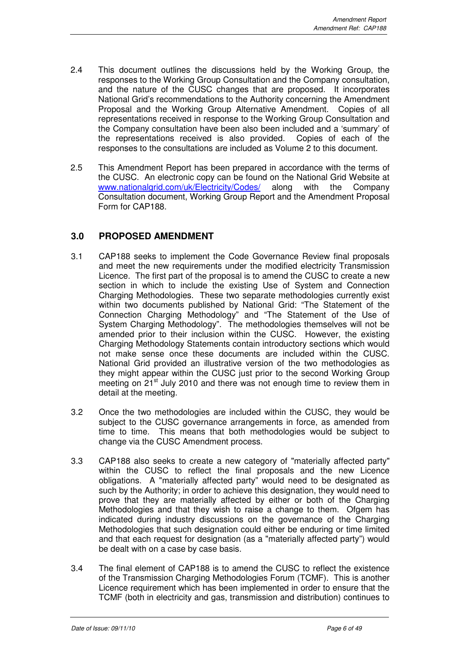- 2.4 This document outlines the discussions held by the Working Group, the responses to the Working Group Consultation and the Company consultation, and the nature of the CUSC changes that are proposed. It incorporates National Grid's recommendations to the Authority concerning the Amendment Proposal and the Working Group Alternative Amendment. Copies of all representations received in response to the Working Group Consultation and the Company consultation have been also been included and a 'summary' of the representations received is also provided. Copies of each of the responses to the consultations are included as Volume 2 to this document.
- 2.5 This Amendment Report has been prepared in accordance with the terms of the CUSC. An electronic copy can be found on the National Grid Website at www.nationalgrid.com/uk/Electricity/Codes/ along with the Company Consultation document, Working Group Report and the Amendment Proposal Form for CAP188.

## **3.0 PROPOSED AMENDMENT**

- 3.1 CAP188 seeks to implement the Code Governance Review final proposals and meet the new requirements under the modified electricity Transmission Licence. The first part of the proposal is to amend the CUSC to create a new section in which to include the existing Use of System and Connection Charging Methodologies. These two separate methodologies currently exist within two documents published by National Grid: "The Statement of the Connection Charging Methodology" and "The Statement of the Use of System Charging Methodology". The methodologies themselves will not be amended prior to their inclusion within the CUSC. However, the existing Charging Methodology Statements contain introductory sections which would not make sense once these documents are included within the CUSC. National Grid provided an illustrative version of the two methodologies as they might appear within the CUSC just prior to the second Working Group meeting on 21<sup>st</sup> July 2010 and there was not enough time to review them in detail at the meeting.
- 3.2 Once the two methodologies are included within the CUSC, they would be subject to the CUSC governance arrangements in force, as amended from time to time. This means that both methodologies would be subject to change via the CUSC Amendment process.
- 3.3 CAP188 also seeks to create a new category of "materially affected party" within the CUSC to reflect the final proposals and the new Licence obligations. A "materially affected party" would need to be designated as such by the Authority; in order to achieve this designation, they would need to prove that they are materially affected by either or both of the Charging Methodologies and that they wish to raise a change to them. Ofgem has indicated during industry discussions on the governance of the Charging Methodologies that such designation could either be enduring or time limited and that each request for designation (as a "materially affected party") would be dealt with on a case by case basis.
- 3.4 The final element of CAP188 is to amend the CUSC to reflect the existence of the Transmission Charging Methodologies Forum (TCMF). This is another Licence requirement which has been implemented in order to ensure that the TCMF (both in electricity and gas, transmission and distribution) continues to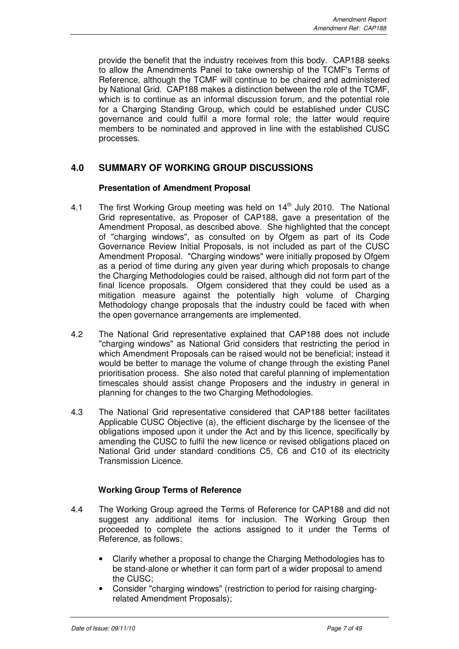provide the benefit that the industry receives from this body. CAP188 seeks to allow the Amendments Panel to take ownership of the TCMF's Terms of Reference, although the TCMF will continue to be chaired and administered by National Grid. CAP188 makes a distinction between the role of the TCMF, which is to continue as an informal discussion forum, and the potential role for a Charging Standing Group, which could be established under CUSC governance and could fulfil a more formal role; the latter would require members to be nominated and approved in line with the established CUSC processes.

## **4.0 SUMMARY OF WORKING GROUP DISCUSSIONS**

## **Presentation of Amendment Proposal**

- 4.1 The first Working Group meeting was held on  $14<sup>th</sup>$  July 2010. The National Grid representative, as Proposer of CAP188, gave a presentation of the Amendment Proposal, as described above.She highlighted that the concept of "charging windows", as consulted on by Ofgem as part of its Code Governance Review Initial Proposals, is not included as part of the CUSC Amendment Proposal. "Charging windows" were initially proposed by Ofgem as a period of time during any given year during which proposals to change the Charging Methodologies could be raised, although did not form part of the final licence proposals. Ofgem considered that they could be used as a mitigation measure against the potentially high volume of Charging Methodology change proposals that the industry could be faced with when the open governance arrangements are implemented.
- 4.2 The National Grid representative explained that CAP188 does not include "charging windows" as National Grid considers that restricting the period in which Amendment Proposals can be raised would not be beneficial; instead it would be better to manage the volume of change through the existing Panel prioritisation process. She also noted that careful planning of implementation timescales should assist change Proposers and the industry in general in planning for changes to the two Charging Methodologies.
- 4.3 The National Grid representative considered that CAP188 better facilitates Applicable CUSC Objective (a), the efficient discharge by the licensee of the obligations imposed upon it under the Act and by this licence, specifically by amending the CUSC to fulfil the new licence or revised obligations placed on National Grid under standard conditions C5, C6 and C10 of its electricity Transmission Licence.

## **Working Group Terms of Reference**

- 4.4 The Working Group agreed the Terms of Reference for CAP188 and did not suggest any additional items for inclusion. The Working Group then proceeded to complete the actions assigned to it under the Terms of Reference, as follows:
	- Clarify whether a proposal to change the Charging Methodologies has to be stand-alone or whether it can form part of a wider proposal to amend the CUSC;
	- Consider "charging windows" (restriction to period for raising chargingrelated Amendment Proposals);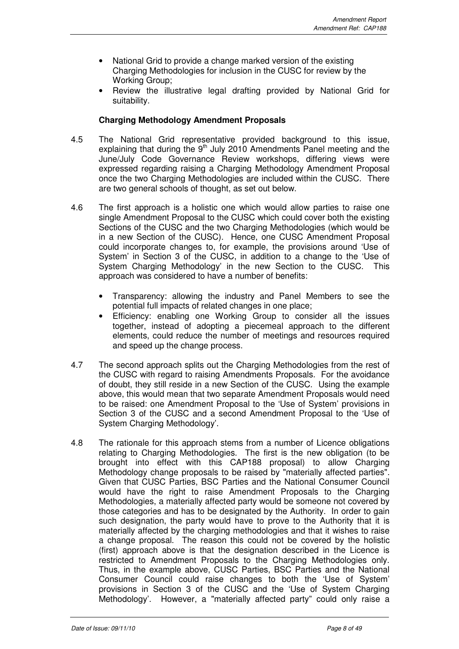- National Grid to provide a change marked version of the existing Charging Methodologies for inclusion in the CUSC for review by the Working Group;
- Review the illustrative legal drafting provided by National Grid for suitability.

## **Charging Methodology Amendment Proposals**

- 4.5 The National Grid representative provided background to this issue, explaining that during the  $9<sup>th</sup>$  July 2010 Amendments Panel meeting and the June/July Code Governance Review workshops, differing views were expressed regarding raising a Charging Methodology Amendment Proposal once the two Charging Methodologies are included within the CUSC. There are two general schools of thought, as set out below.
- 4.6 The first approach is a holistic one which would allow parties to raise one single Amendment Proposal to the CUSC which could cover both the existing Sections of the CUSC and the two Charging Methodologies (which would be in a new Section of the CUSC). Hence, one CUSC Amendment Proposal could incorporate changes to, for example, the provisions around 'Use of System' in Section 3 of the CUSC, in addition to a change to the 'Use of System Charging Methodology' in the new Section to the CUSC. This approach was considered to have a number of benefits:
	- Transparency: allowing the industry and Panel Members to see the potential full impacts of related changes in one place;
	- Efficiency: enabling one Working Group to consider all the issues together, instead of adopting a piecemeal approach to the different elements, could reduce the number of meetings and resources required and speed up the change process.
- 4.7 The second approach splits out the Charging Methodologies from the rest of the CUSC with regard to raising Amendments Proposals. For the avoidance of doubt, they still reside in a new Section of the CUSC. Using the example above, this would mean that two separate Amendment Proposals would need to be raised: one Amendment Proposal to the 'Use of System' provisions in Section 3 of the CUSC and a second Amendment Proposal to the 'Use of System Charging Methodology'.
- 4.8 The rationale for this approach stems from a number of Licence obligations relating to Charging Methodologies. The first is the new obligation (to be brought into effect with this CAP188 proposal) to allow Charging Methodology change proposals to be raised by "materially affected parties". Given that CUSC Parties, BSC Parties and the National Consumer Council would have the right to raise Amendment Proposals to the Charging Methodologies, a materially affected party would be someone not covered by those categories and has to be designated by the Authority. In order to gain such designation, the party would have to prove to the Authority that it is materially affected by the charging methodologies and that it wishes to raise a change proposal. The reason this could not be covered by the holistic (first) approach above is that the designation described in the Licence is restricted to Amendment Proposals to the Charging Methodologies only. Thus, in the example above, CUSC Parties, BSC Parties and the National Consumer Council could raise changes to both the 'Use of System' provisions in Section 3 of the CUSC and the 'Use of System Charging Methodology'. However, a "materially affected party" could only raise a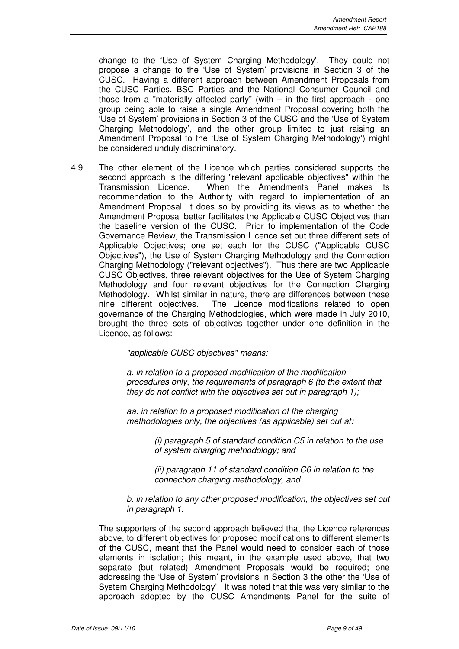change to the 'Use of System Charging Methodology'. They could not propose a change to the 'Use of System' provisions in Section 3 of the CUSC. Having a different approach between Amendment Proposals from the CUSC Parties, BSC Parties and the National Consumer Council and those from a "materially affected party" (with – in the first approach - one group being able to raise a single Amendment Proposal covering both the 'Use of System' provisions in Section 3 of the CUSC and the 'Use of System Charging Methodology', and the other group limited to just raising an Amendment Proposal to the 'Use of System Charging Methodology') might be considered unduly discriminatory.

4.9 The other element of the Licence which parties considered supports the second approach is the differing "relevant applicable objectives" within the Transmission Licence. When the Amendments Panel makes its recommendation to the Authority with regard to implementation of an Amendment Proposal, it does so by providing its views as to whether the Amendment Proposal better facilitates the Applicable CUSC Objectives than the baseline version of the CUSC. Prior to implementation of the Code Governance Review, the Transmission Licence set out three different sets of Applicable Objectives; one set each for the CUSC ("Applicable CUSC Objectives"), the Use of System Charging Methodology and the Connection Charging Methodology ("relevant objectives"). Thus there are two Applicable CUSC Objectives, three relevant objectives for the Use of System Charging Methodology and four relevant objectives for the Connection Charging Methodology. Whilst similar in nature, there are differences between these nine different objectives. The Licence modifications related to open governance of the Charging Methodologies, which were made in July 2010, brought the three sets of objectives together under one definition in the Licence, as follows:

"applicable CUSC objectives" means:

a. in relation to a proposed modification of the modification procedures only, the requirements of paragraph 6 (to the extent that they do not conflict with the objectives set out in paragraph 1);

aa. in relation to a proposed modification of the charging methodologies only, the objectives (as applicable) set out at:

> (i) paragraph 5 of standard condition C5 in relation to the use of system charging methodology; and

(ii) paragraph 11 of standard condition C6 in relation to the connection charging methodology, and

b. in relation to any other proposed modification, the objectives set out in paragraph 1.

The supporters of the second approach believed that the Licence references above, to different objectives for proposed modifications to different elements of the CUSC, meant that the Panel would need to consider each of those elements in isolation; this meant, in the example used above, that two separate (but related) Amendment Proposals would be required; one addressing the 'Use of System' provisions in Section 3 the other the 'Use of System Charging Methodology'. It was noted that this was very similar to the approach adopted by the CUSC Amendments Panel for the suite of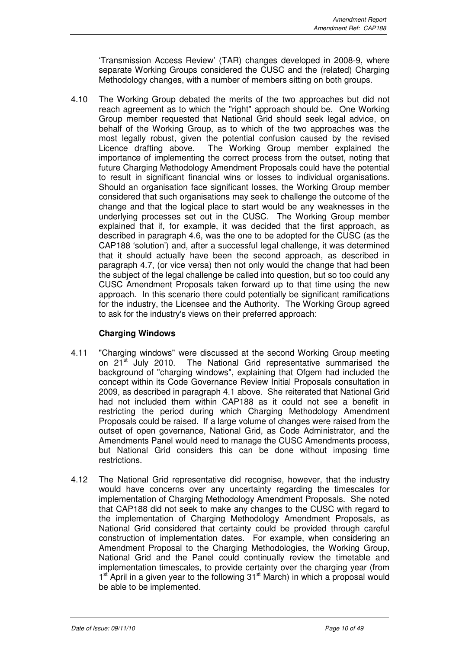'Transmission Access Review' (TAR) changes developed in 2008-9, where separate Working Groups considered the CUSC and the (related) Charging Methodology changes, with a number of members sitting on both groups.

4.10 The Working Group debated the merits of the two approaches but did not reach agreement as to which the "right" approach should be. One Working Group member requested that National Grid should seek legal advice, on behalf of the Working Group, as to which of the two approaches was the most legally robust, given the potential confusion caused by the revised Licence drafting above. The Working Group member explained the importance of implementing the correct process from the outset, noting that future Charging Methodology Amendment Proposals could have the potential to result in significant financial wins or losses to individual organisations. Should an organisation face significant losses, the Working Group member considered that such organisations may seek to challenge the outcome of the change and that the logical place to start would be any weaknesses in the underlying processes set out in the CUSC. The Working Group member explained that if, for example, it was decided that the first approach, as described in paragraph 4.6, was the one to be adopted for the CUSC (as the CAP188 'solution') and, after a successful legal challenge, it was determined that it should actually have been the second approach, as described in paragraph 4.7, (or vice versa) then not only would the change that had been the subject of the legal challenge be called into question, but so too could any CUSC Amendment Proposals taken forward up to that time using the new approach. In this scenario there could potentially be significant ramifications for the industry, the Licensee and the Authority. The Working Group agreed to ask for the industry's views on their preferred approach:

## **Charging Windows**

- 4.11 "Charging windows" were discussed at the second Working Group meeting on 21<sup>st</sup> July 2010. The National Grid representative summarised the background of "charging windows", explaining that Ofgem had included the concept within its Code Governance Review Initial Proposals consultation in 2009, as described in paragraph 4.1 above. She reiterated that National Grid had not included them within CAP188 as it could not see a benefit in restricting the period during which Charging Methodology Amendment Proposals could be raised. If a large volume of changes were raised from the outset of open governance, National Grid, as Code Administrator, and the Amendments Panel would need to manage the CUSC Amendments process, but National Grid considers this can be done without imposing time restrictions.
- 4.12 The National Grid representative did recognise, however, that the industry would have concerns over any uncertainty regarding the timescales for implementation of Charging Methodology Amendment Proposals. She noted that CAP188 did not seek to make any changes to the CUSC with regard to the implementation of Charging Methodology Amendment Proposals, as National Grid considered that certainty could be provided through careful construction of implementation dates. For example, when considering an Amendment Proposal to the Charging Methodologies, the Working Group, National Grid and the Panel could continually review the timetable and implementation timescales, to provide certainty over the charging year (from 1<sup>st</sup> April in a given year to the following 31<sup>st</sup> March) in which a proposal would be able to be implemented.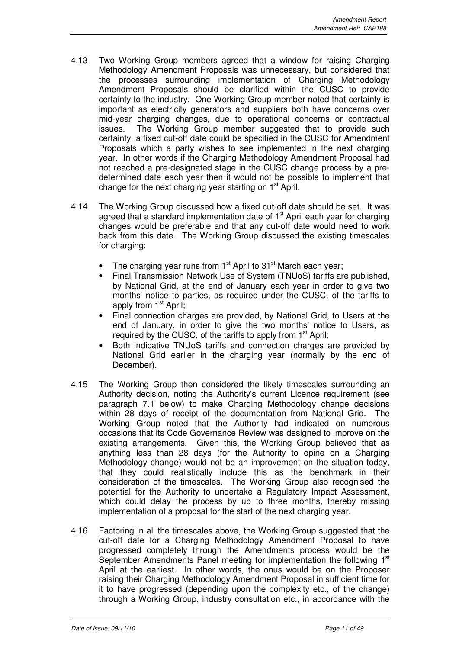- 4.13 Two Working Group members agreed that a window for raising Charging Methodology Amendment Proposals was unnecessary, but considered that the processes surrounding implementation of Charging Methodology Amendment Proposals should be clarified within the CUSC to provide certainty to the industry. One Working Group member noted that certainty is important as electricity generators and suppliers both have concerns over mid-year charging changes, due to operational concerns or contractual issues. The Working Group member suggested that to provide such certainty, a fixed cut-off date could be specified in the CUSC for Amendment Proposals which a party wishes to see implemented in the next charging year. In other words if the Charging Methodology Amendment Proposal had not reached a pre-designated stage in the CUSC change process by a predetermined date each year then it would not be possible to implement that change for the next charging year starting on 1<sup>st</sup> April.
- 4.14 The Working Group discussed how a fixed cut-off date should be set. It was agreed that a standard implementation date of  $1<sup>st</sup>$  April each year for charging changes would be preferable and that any cut-off date would need to work back from this date. The Working Group discussed the existing timescales for charging:
	- The charging year runs from  $1<sup>st</sup>$  April to  $31<sup>st</sup>$  March each vear;
	- Final Transmission Network Use of System (TNUoS) tariffs are published, by National Grid, at the end of January each year in order to give two months' notice to parties, as required under the CUSC, of the tariffs to apply from  $1<sup>st</sup>$  April;
	- Final connection charges are provided, by National Grid, to Users at the end of January, in order to give the two months' notice to Users, as required by the CUSC, of the tariffs to apply from 1<sup>st</sup> April;
	- Both indicative TNUoS tariffs and connection charges are provided by National Grid earlier in the charging year (normally by the end of December).
- 4.15 The Working Group then considered the likely timescales surrounding an Authority decision, noting the Authority's current Licence requirement (see paragraph 7.1 below) to make Charging Methodology change decisions within 28 days of receipt of the documentation from National Grid. The Working Group noted that the Authority had indicated on numerous occasions that its Code Governance Review was designed to improve on the existing arrangements. Given this, the Working Group believed that as anything less than 28 days (for the Authority to opine on a Charging Methodology change) would not be an improvement on the situation today, that they could realistically include this as the benchmark in their consideration of the timescales. The Working Group also recognised the potential for the Authority to undertake a Regulatory Impact Assessment, which could delay the process by up to three months, thereby missing implementation of a proposal for the start of the next charging year.
- 4.16 Factoring in all the timescales above, the Working Group suggested that the cut-off date for a Charging Methodology Amendment Proposal to have progressed completely through the Amendments process would be the September Amendments Panel meeting for implementation the following 1<sup>st</sup> April at the earliest. In other words, the onus would be on the Proposer raising their Charging Methodology Amendment Proposal in sufficient time for it to have progressed (depending upon the complexity etc., of the change) through a Working Group, industry consultation etc., in accordance with the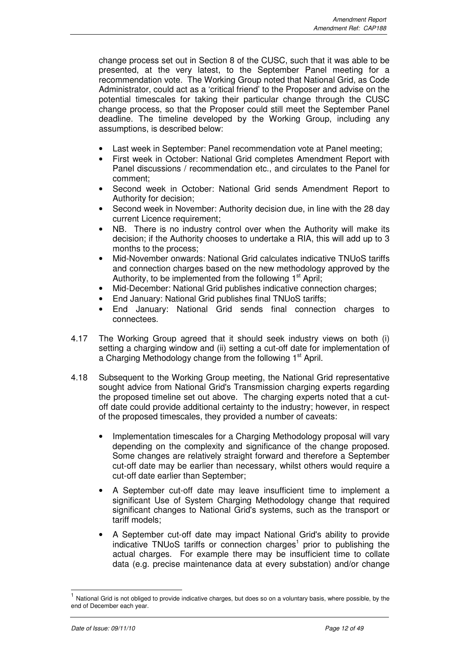change process set out in Section 8 of the CUSC, such that it was able to be presented, at the very latest, to the September Panel meeting for a recommendation vote. The Working Group noted that National Grid, as Code Administrator, could act as a 'critical friend' to the Proposer and advise on the potential timescales for taking their particular change through the CUSC change process, so that the Proposer could still meet the September Panel deadline. The timeline developed by the Working Group, including any assumptions, is described below:

- Last week in September: Panel recommendation vote at Panel meeting;
- First week in October: National Grid completes Amendment Report with Panel discussions / recommendation etc., and circulates to the Panel for comment;
- Second week in October: National Grid sends Amendment Report to Authority for decision;
- Second week in November: Authority decision due, in line with the 28 day current Licence requirement;
- NB. There is no industry control over when the Authority will make its decision; if the Authority chooses to undertake a RIA, this will add up to 3 months to the process;
- Mid-November onwards: National Grid calculates indicative TNUoS tariffs and connection charges based on the new methodology approved by the Authority, to be implemented from the following  $1<sup>st</sup>$  April;
- Mid-December: National Grid publishes indicative connection charges;
- End January: National Grid publishes final TNUoS tariffs;
- End January: National Grid sends final connection charges to connectees.
- 4.17 The Working Group agreed that it should seek industry views on both (i) setting a charging window and (ii) setting a cut-off date for implementation of a Charging Methodology change from the following 1<sup>st</sup> April.
- 4.18 Subsequent to the Working Group meeting, the National Grid representative sought advice from National Grid's Transmission charging experts regarding the proposed timeline set out above. The charging experts noted that a cutoff date could provide additional certainty to the industry; however, in respect of the proposed timescales, they provided a number of caveats:
	- Implementation timescales for a Charging Methodology proposal will vary depending on the complexity and significance of the change proposed. Some changes are relatively straight forward and therefore a September cut-off date may be earlier than necessary, whilst others would require a cut-off date earlier than September;
	- A September cut-off date may leave insufficient time to implement a significant Use of System Charging Methodology change that required significant changes to National Grid's systems, such as the transport or tariff models;
	- A September cut-off date may impact National Grid's ability to provide indicative TNUoS tariffs or connection charges<sup>1</sup> prior to publishing the actual charges. For example there may be insufficient time to collate data (e.g. precise maintenance data at every substation) and/or change

 $\overline{a}$ 

<sup>1</sup> National Grid is not obliged to provide indicative charges, but does so on a voluntary basis, where possible, by the end of December each year.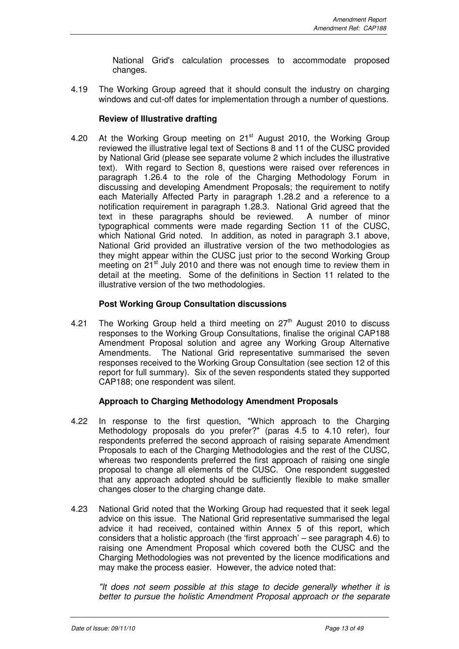National Grid's calculation processes to accommodate proposed changes.

4.19 The Working Group agreed that it should consult the industry on charging windows and cut-off dates for implementation through a number of questions.

## **Review of Illustrative drafting**

4.20 At the Working Group meeting on 21<sup>st</sup> August 2010, the Working Group reviewed the illustrative legal text of Sections 8 and 11 of the CUSC provided by National Grid (please see separate volume 2 which includes the illustrative text). With regard to Section 8, questions were raised over references in paragraph 1.26.4 to the role of the Charging Methodology Forum in discussing and developing Amendment Proposals; the requirement to notify each Materially Affected Party in paragraph 1.28.2 and a reference to a notification requirement in paragraph 1.28.3. National Grid agreed that the text in these paragraphs should be reviewed. A number of minor typographical comments were made regarding Section 11 of the CUSC, which National Grid noted. In addition, as noted in paragraph 3.1 above, National Grid provided an illustrative version of the two methodologies as they might appear within the CUSC just prior to the second Working Group meeting on 21<sup>st</sup> July 2010 and there was not enough time to review them in detail at the meeting. Some of the definitions in Section 11 related to the illustrative version of the two methodologies.

## **Post Working Group Consultation discussions**

4.21 The Working Group held a third meeting on  $27<sup>th</sup>$  August 2010 to discuss responses to the Working Group Consultations, finalise the original CAP188 Amendment Proposal solution and agree any Working Group Alternative Amendments. The National Grid representative summarised the seven responses received to the Working Group Consultation (see section 12 of this report for full summary). Six of the seven respondents stated they supported CAP188; one respondent was silent.

## **Approach to Charging Methodology Amendment Proposals**

- 4.22 In response to the first question, "Which approach to the Charging Methodology proposals do you prefer?" (paras 4.5 to 4.10 refer), four respondents preferred the second approach of raising separate Amendment Proposals to each of the Charging Methodologies and the rest of the CUSC, whereas two respondents preferred the first approach of raising one single proposal to change all elements of the CUSC. One respondent suggested that any approach adopted should be sufficiently flexible to make smaller changes closer to the charging change date.
- 4.23 National Grid noted that the Working Group had requested that it seek legal advice on this issue. The National Grid representative summarised the legal advice it had received, contained within Annex 5 of this report, which considers that a holistic approach (the 'first approach' – see paragraph 4.6) to raising one Amendment Proposal which covered both the CUSC and the Charging Methodologies was not prevented by the licence modifications and may make the process easier. However, the advice noted that:

"It does not seem possible at this stage to decide generally whether it is better to pursue the holistic Amendment Proposal approach or the separate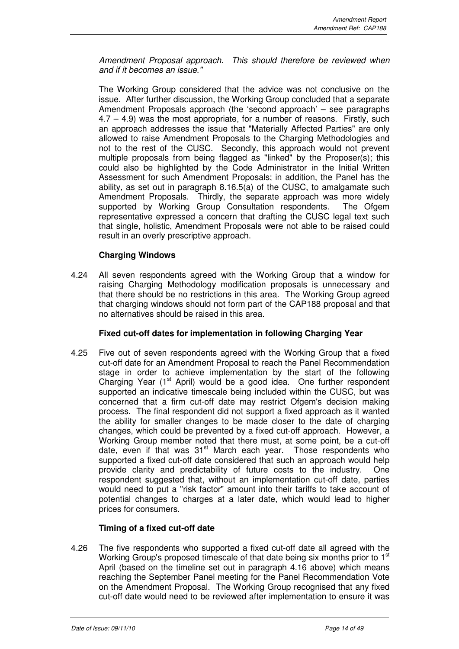Amendment Proposal approach. This should therefore be reviewed when and if it becomes an issue."

The Working Group considered that the advice was not conclusive on the issue. After further discussion, the Working Group concluded that a separate Amendment Proposals approach (the 'second approach' – see paragraphs 4.7 – 4.9) was the most appropriate, for a number of reasons. Firstly, such an approach addresses the issue that "Materially Affected Parties" are only allowed to raise Amendment Proposals to the Charging Methodologies and not to the rest of the CUSC. Secondly, this approach would not prevent multiple proposals from being flagged as "linked" by the Proposer(s); this could also be highlighted by the Code Administrator in the Initial Written Assessment for such Amendment Proposals; in addition, the Panel has the ability, as set out in paragraph 8.16.5(a) of the CUSC, to amalgamate such Amendment Proposals. Thirdly, the separate approach was more widely supported by Working Group Consultation respondents. The Ofgem representative expressed a concern that drafting the CUSC legal text such that single, holistic, Amendment Proposals were not able to be raised could result in an overly prescriptive approach.

## **Charging Windows**

4.24 All seven respondents agreed with the Working Group that a window for raising Charging Methodology modification proposals is unnecessary and that there should be no restrictions in this area. The Working Group agreed that charging windows should not form part of the CAP188 proposal and that no alternatives should be raised in this area.

## **Fixed cut-off dates for implementation in following Charging Year**

4.25 Five out of seven respondents agreed with the Working Group that a fixed cut-off date for an Amendment Proposal to reach the Panel Recommendation stage in order to achieve implementation by the start of the following Charging Year  $(1<sup>st</sup>$  April) would be a good idea. One further respondent supported an indicative timescale being included within the CUSC, but was concerned that a firm cut-off date may restrict Ofgem's decision making process. The final respondent did not support a fixed approach as it wanted the ability for smaller changes to be made closer to the date of charging changes, which could be prevented by a fixed cut-off approach. However, a Working Group member noted that there must, at some point, be a cut-off date, even if that was 31<sup>st</sup> March each year. Those respondents who supported a fixed cut-off date considered that such an approach would help provide clarity and predictability of future costs to the industry. One respondent suggested that, without an implementation cut-off date, parties would need to put a "risk factor" amount into their tariffs to take account of potential changes to charges at a later date, which would lead to higher prices for consumers.

## **Timing of a fixed cut-off date**

4.26 The five respondents who supported a fixed cut-off date all agreed with the Working Group's proposed timescale of that date being six months prior to 1<sup>st</sup> April (based on the timeline set out in paragraph 4.16 above) which means reaching the September Panel meeting for the Panel Recommendation Vote on the Amendment Proposal. The Working Group recognised that any fixed cut-off date would need to be reviewed after implementation to ensure it was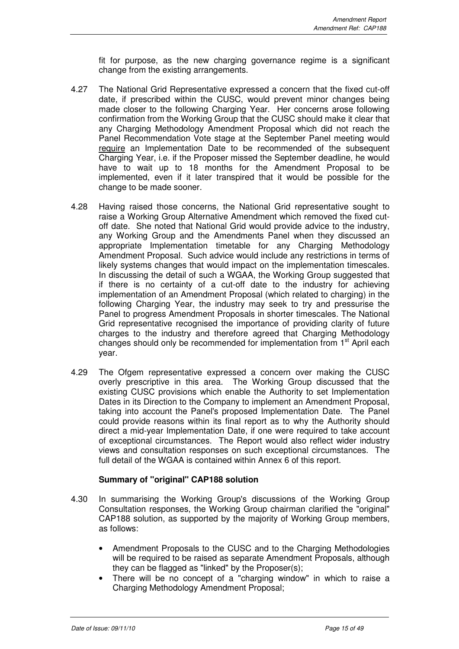fit for purpose, as the new charging governance regime is a significant change from the existing arrangements.

- 4.27 The National Grid Representative expressed a concern that the fixed cut-off date, if prescribed within the CUSC, would prevent minor changes being made closer to the following Charging Year. Her concerns arose following confirmation from the Working Group that the CUSC should make it clear that any Charging Methodology Amendment Proposal which did not reach the Panel Recommendation Vote stage at the September Panel meeting would require an Implementation Date to be recommended of the subsequent Charging Year, i.e. if the Proposer missed the September deadline, he would have to wait up to 18 months for the Amendment Proposal to be implemented, even if it later transpired that it would be possible for the change to be made sooner.
- 4.28 Having raised those concerns, the National Grid representative sought to raise a Working Group Alternative Amendment which removed the fixed cutoff date. She noted that National Grid would provide advice to the industry, any Working Group and the Amendments Panel when they discussed an appropriate Implementation timetable for any Charging Methodology Amendment Proposal. Such advice would include any restrictions in terms of likely systems changes that would impact on the implementation timescales. In discussing the detail of such a WGAA, the Working Group suggested that if there is no certainty of a cut-off date to the industry for achieving implementation of an Amendment Proposal (which related to charging) in the following Charging Year, the industry may seek to try and pressurise the Panel to progress Amendment Proposals in shorter timescales. The National Grid representative recognised the importance of providing clarity of future charges to the industry and therefore agreed that Charging Methodology changes should only be recommended for implementation from 1<sup>st</sup> April each year.
- 4.29 The Ofgem representative expressed a concern over making the CUSC overly prescriptive in this area. The Working Group discussed that the existing CUSC provisions which enable the Authority to set Implementation Dates in its Direction to the Company to implement an Amendment Proposal, taking into account the Panel's proposed Implementation Date. The Panel could provide reasons within its final report as to why the Authority should direct a mid-year Implementation Date, if one were required to take account of exceptional circumstances. The Report would also reflect wider industry views and consultation responses on such exceptional circumstances. The full detail of the WGAA is contained within Annex 6 of this report.

## **Summary of "original" CAP188 solution**

- 4.30 In summarising the Working Group's discussions of the Working Group Consultation responses, the Working Group chairman clarified the "original" CAP188 solution, as supported by the majority of Working Group members, as follows:
	- Amendment Proposals to the CUSC and to the Charging Methodologies will be required to be raised as separate Amendment Proposals, although they can be flagged as "linked" by the Proposer(s);
	- There will be no concept of a "charging window" in which to raise a Charging Methodology Amendment Proposal;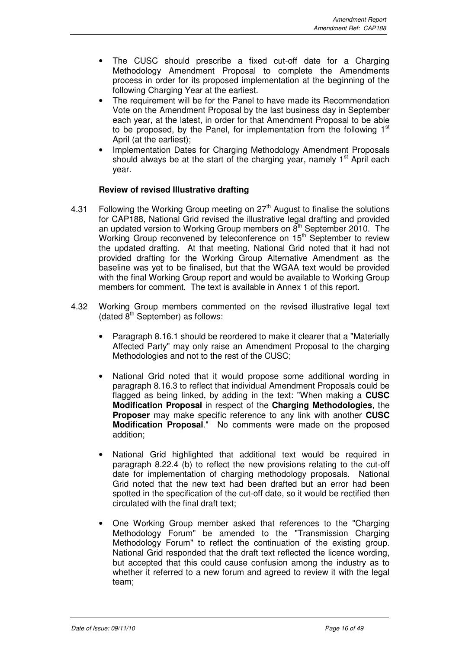- The CUSC should prescribe a fixed cut-off date for a Charging Methodology Amendment Proposal to complete the Amendments process in order for its proposed implementation at the beginning of the following Charging Year at the earliest.
- The requirement will be for the Panel to have made its Recommendation Vote on the Amendment Proposal by the last business day in September each year, at the latest, in order for that Amendment Proposal to be able to be proposed, by the Panel, for implementation from the following  $1<sup>st</sup>$ April (at the earliest);
- Implementation Dates for Charging Methodology Amendment Proposals should always be at the start of the charging year, namely  $1<sup>st</sup>$  April each year.

## **Review of revised Illustrative drafting**

- 4.31 Following the Working Group meeting on  $27<sup>th</sup>$  August to finalise the solutions for CAP188, National Grid revised the illustrative legal drafting and provided an updated version to Working Group members on  $8<sup>th</sup>$  September 2010. The Working Group reconvened by teleconference on 15<sup>th</sup> September to review the updated drafting. At that meeting, National Grid noted that it had not provided drafting for the Working Group Alternative Amendment as the baseline was yet to be finalised, but that the WGAA text would be provided with the final Working Group report and would be available to Working Group members for comment. The text is available in Annex 1 of this report.
- 4.32 Working Group members commented on the revised illustrative legal text (dated  $8<sup>th</sup>$  September) as follows:
	- Paragraph 8.16.1 should be reordered to make it clearer that a "Materially Affected Party" may only raise an Amendment Proposal to the charging Methodologies and not to the rest of the CUSC;
	- National Grid noted that it would propose some additional wording in paragraph 8.16.3 to reflect that individual Amendment Proposals could be flagged as being linked, by adding in the text: "When making a **CUSC Modification Proposal** in respect of the **Charging Methodologies**, the **Proposer** may make specific reference to any link with another **CUSC Modification Proposal**." No comments were made on the proposed addition;
	- National Grid highlighted that additional text would be required in paragraph 8.22.4 (b) to reflect the new provisions relating to the cut-off date for implementation of charging methodology proposals. National Grid noted that the new text had been drafted but an error had been spotted in the specification of the cut-off date, so it would be rectified then circulated with the final draft text;
	- One Working Group member asked that references to the "Charging Methodology Forum" be amended to the "Transmission Charging Methodology Forum" to reflect the continuation of the existing group. National Grid responded that the draft text reflected the licence wording, but accepted that this could cause confusion among the industry as to whether it referred to a new forum and agreed to review it with the legal team;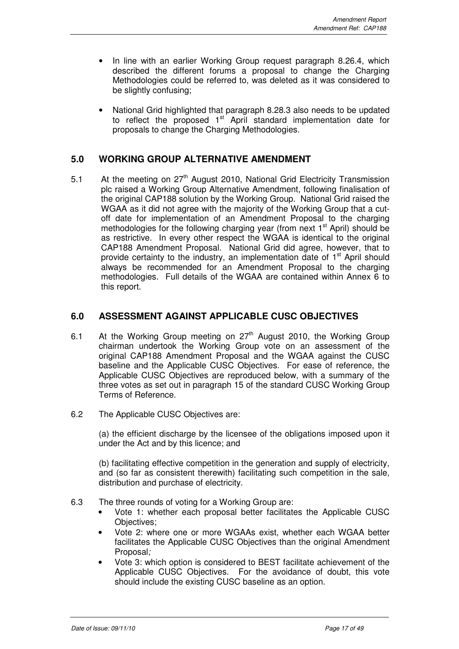- In line with an earlier Working Group request paragraph 8.26.4, which described the different forums a proposal to change the Charging Methodologies could be referred to, was deleted as it was considered to be slightly confusing;
- National Grid highlighted that paragraph 8.28.3 also needs to be updated to reflect the proposed  $1<sup>st</sup>$  April standard implementation date for proposals to change the Charging Methodologies.

## **5.0 WORKING GROUP ALTERNATIVE AMENDMENT**

5.1 At the meeting on 27<sup>th</sup> August 2010, National Grid Electricity Transmission plc raised a Working Group Alternative Amendment, following finalisation of the original CAP188 solution by the Working Group. National Grid raised the WGAA as it did not agree with the majority of the Working Group that a cutoff date for implementation of an Amendment Proposal to the charging methodologies for the following charging year (from next  $1<sup>st</sup>$  April) should be as restrictive. In every other respect the WGAA is identical to the original CAP188 Amendment Proposal. National Grid did agree, however, that to provide certainty to the industry, an implementation date of  $1<sup>st</sup>$  April should always be recommended for an Amendment Proposal to the charging methodologies. Full details of the WGAA are contained within Annex 6 to this report.

## **6.0 ASSESSMENT AGAINST APPLICABLE CUSC OBJECTIVES**

- 6.1 At the Working Group meeting on  $27<sup>th</sup>$  August 2010, the Working Group chairman undertook the Working Group vote on an assessment of the original CAP188 Amendment Proposal and the WGAA against the CUSC baseline and the Applicable CUSC Objectives. For ease of reference, the Applicable CUSC Objectives are reproduced below, with a summary of the three votes as set out in paragraph 15 of the standard CUSC Working Group Terms of Reference.
- 6.2 The Applicable CUSC Objectives are:

(a) the efficient discharge by the licensee of the obligations imposed upon it under the Act and by this licence; and

(b) facilitating effective competition in the generation and supply of electricity, and (so far as consistent therewith) facilitating such competition in the sale, distribution and purchase of electricity.

- 6.3 The three rounds of voting for a Working Group are:
	- Vote 1: whether each proposal better facilitates the Applicable CUSC Objectives;
	- Vote 2: where one or more WGAAs exist, whether each WGAA better facilitates the Applicable CUSC Objectives than the original Amendment Proposal;
	- Vote 3: which option is considered to BEST facilitate achievement of the Applicable CUSC Objectives. For the avoidance of doubt, this vote should include the existing CUSC baseline as an option.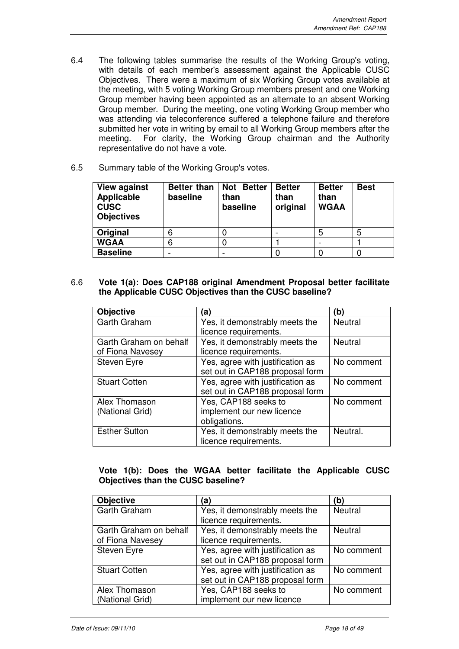- 6.4 The following tables summarise the results of the Working Group's voting, with details of each member's assessment against the Applicable CUSC Objectives. There were a maximum of six Working Group votes available at the meeting, with 5 voting Working Group members present and one Working Group member having been appointed as an alternate to an absent Working Group member. During the meeting, one voting Working Group member who was attending via teleconference suffered a telephone failure and therefore submitted her vote in writing by email to all Working Group members after the meeting. For clarity, the Working Group chairman and the Authority representative do not have a vote.
- 6.5 Summary table of the Working Group's votes.

| <b>View against</b><br><b>Applicable</b><br><b>CUSC</b><br><b>Objectives</b> | Better than<br>baseline | <b>Not Better</b><br>than<br>baseline | <b>Better</b><br>than<br>original | <b>Better</b><br>than<br><b>WGAA</b> | <b>Best</b> |
|------------------------------------------------------------------------------|-------------------------|---------------------------------------|-----------------------------------|--------------------------------------|-------------|
| <b>Original</b>                                                              | 6                       |                                       |                                   | 5                                    | 5           |
| <b>WGAA</b>                                                                  | 6                       |                                       |                                   |                                      |             |
| <b>Baseline</b>                                                              |                         |                                       |                                   |                                      |             |

6.6 **Vote 1(a): Does CAP188 original Amendment Proposal better facilitate the Applicable CUSC Objectives than the CUSC baseline?**

| <b>Objective</b>       | (a)                              | (b)            |
|------------------------|----------------------------------|----------------|
| Garth Graham           | Yes, it demonstrably meets the   | <b>Neutral</b> |
|                        | licence requirements.            |                |
| Garth Graham on behalf | Yes, it demonstrably meets the   | <b>Neutral</b> |
| of Fiona Navesey       | licence requirements.            |                |
| Steven Eyre            | Yes, agree with justification as | No comment     |
|                        | set out in CAP188 proposal form  |                |
| <b>Stuart Cotten</b>   | Yes, agree with justification as | No comment     |
|                        | set out in CAP188 proposal form  |                |
| Alex Thomason          | Yes, CAP188 seeks to             | No comment     |
| (National Grid)        | implement our new licence        |                |
|                        | obligations.                     |                |
| <b>Esther Sutton</b>   | Yes, it demonstrably meets the   | Neutral.       |
|                        | licence requirements.            |                |

## **Vote 1(b): Does the WGAA better facilitate the Applicable CUSC Objectives than the CUSC baseline?**

| <b>Objective</b>       | a)                               | (b)            |
|------------------------|----------------------------------|----------------|
| Garth Graham           | Yes, it demonstrably meets the   | Neutral        |
|                        | licence requirements.            |                |
| Garth Graham on behalf | Yes, it demonstrably meets the   | <b>Neutral</b> |
| of Fiona Navesey       | licence requirements.            |                |
| <b>Steven Eyre</b>     | Yes, agree with justification as | No comment     |
|                        | set out in CAP188 proposal form  |                |
| <b>Stuart Cotten</b>   | Yes, agree with justification as | No comment     |
|                        | set out in CAP188 proposal form  |                |
| Alex Thomason          | Yes, CAP188 seeks to             | No comment     |
| (National Grid)        | implement our new licence        |                |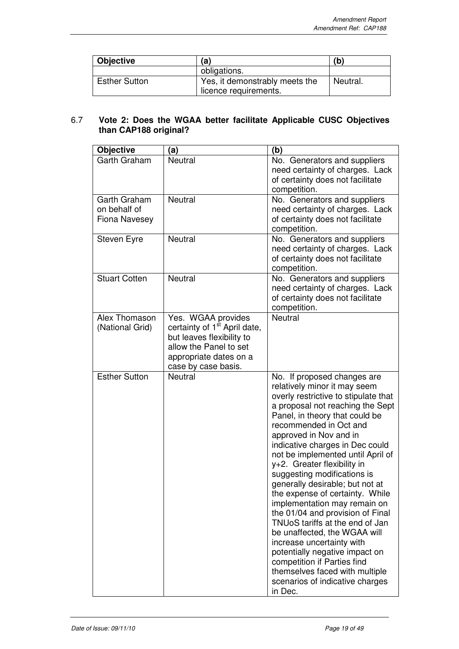| <b>Objective</b>     | (a)                                                     | (b)      |
|----------------------|---------------------------------------------------------|----------|
|                      | obligations.                                            |          |
| <b>Esther Sutton</b> | Yes, it demonstrably meets the<br>licence requirements. | Neutral. |

## 6.7 **Vote 2: Does the WGAA better facilitate Applicable CUSC Objectives than CAP188 original?**

| <b>Objective</b>                                     | (a)                                                                                                                                                                    | (b)                                                                                                                                                                                                                                                                                                                                                                                                                                                                                                                                                                                                                                                                                                                                                            |
|------------------------------------------------------|------------------------------------------------------------------------------------------------------------------------------------------------------------------------|----------------------------------------------------------------------------------------------------------------------------------------------------------------------------------------------------------------------------------------------------------------------------------------------------------------------------------------------------------------------------------------------------------------------------------------------------------------------------------------------------------------------------------------------------------------------------------------------------------------------------------------------------------------------------------------------------------------------------------------------------------------|
| Garth Graham                                         | Neutral                                                                                                                                                                | No. Generators and suppliers<br>need certainty of charges. Lack<br>of certainty does not facilitate<br>competition.                                                                                                                                                                                                                                                                                                                                                                                                                                                                                                                                                                                                                                            |
| Garth Graham<br>on behalf of<br><b>Fiona Navesey</b> | <b>Neutral</b>                                                                                                                                                         | No. Generators and suppliers<br>need certainty of charges. Lack<br>of certainty does not facilitate<br>competition.                                                                                                                                                                                                                                                                                                                                                                                                                                                                                                                                                                                                                                            |
| Steven Eyre                                          | <b>Neutral</b>                                                                                                                                                         | No. Generators and suppliers<br>need certainty of charges. Lack<br>of certainty does not facilitate<br>competition.                                                                                                                                                                                                                                                                                                                                                                                                                                                                                                                                                                                                                                            |
| <b>Stuart Cotten</b>                                 | <b>Neutral</b>                                                                                                                                                         | No. Generators and suppliers<br>need certainty of charges. Lack<br>of certainty does not facilitate<br>competition.                                                                                                                                                                                                                                                                                                                                                                                                                                                                                                                                                                                                                                            |
| Alex Thomason<br>(National Grid)                     | Yes. WGAA provides<br>certainty of 1 <sup>st</sup> April date,<br>but leaves flexibility to<br>allow the Panel to set<br>appropriate dates on a<br>case by case basis. | <b>Neutral</b>                                                                                                                                                                                                                                                                                                                                                                                                                                                                                                                                                                                                                                                                                                                                                 |
| <b>Esther Sutton</b>                                 | <b>Neutral</b>                                                                                                                                                         | No. If proposed changes are<br>relatively minor it may seem<br>overly restrictive to stipulate that<br>a proposal not reaching the Sept<br>Panel, in theory that could be<br>recommended in Oct and<br>approved in Nov and in<br>indicative charges in Dec could<br>not be implemented until April of<br>y+2. Greater flexibility in<br>suggesting modifications is<br>generally desirable; but not at<br>the expense of certainty. While<br>implementation may remain on<br>the 01/04 and provision of Final<br>TNUoS tariffs at the end of Jan<br>be unaffected, the WGAA will<br>increase uncertainty with<br>potentially negative impact on<br>competition if Parties find<br>themselves faced with multiple<br>scenarios of indicative charges<br>in Dec. |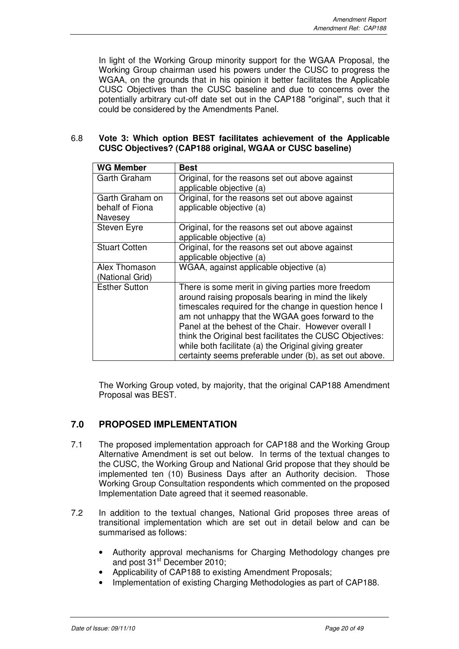In light of the Working Group minority support for the WGAA Proposal, the Working Group chairman used his powers under the CUSC to progress the WGAA, on the grounds that in his opinion it better facilitates the Applicable CUSC Objectives than the CUSC baseline and due to concerns over the potentially arbitrary cut-off date set out in the CAP188 "original", such that it could be considered by the Amendments Panel.

## 6.8 **Vote 3: Which option BEST facilitates achievement of the Applicable CUSC Objectives? (CAP188 original, WGAA or CUSC baseline)**

| <b>WG Member</b>                              | Best                                                                                                                                                                                                                                                                                                                                                                                                                                                           |
|-----------------------------------------------|----------------------------------------------------------------------------------------------------------------------------------------------------------------------------------------------------------------------------------------------------------------------------------------------------------------------------------------------------------------------------------------------------------------------------------------------------------------|
| Garth Graham                                  | Original, for the reasons set out above against<br>applicable objective (a)                                                                                                                                                                                                                                                                                                                                                                                    |
| Garth Graham on<br>behalf of Fiona<br>Navesey | Original, for the reasons set out above against<br>applicable objective (a)                                                                                                                                                                                                                                                                                                                                                                                    |
| Steven Eyre                                   | Original, for the reasons set out above against<br>applicable objective (a)                                                                                                                                                                                                                                                                                                                                                                                    |
| <b>Stuart Cotten</b>                          | Original, for the reasons set out above against<br>applicable objective (a)                                                                                                                                                                                                                                                                                                                                                                                    |
| Alex Thomason<br>(National Grid)              | WGAA, against applicable objective (a)                                                                                                                                                                                                                                                                                                                                                                                                                         |
| <b>Esther Sutton</b>                          | There is some merit in giving parties more freedom<br>around raising proposals bearing in mind the likely<br>timescales required for the change in question hence I<br>am not unhappy that the WGAA goes forward to the<br>Panel at the behest of the Chair. However overall I<br>think the Original best facilitates the CUSC Objectives:<br>while both facilitate (a) the Original giving greater<br>certainty seems preferable under (b), as set out above. |

The Working Group voted, by majority, that the original CAP188 Amendment Proposal was BEST.

## **7.0 PROPOSED IMPLEMENTATION**

- 7.1 The proposed implementation approach for CAP188 and the Working Group Alternative Amendment is set out below. In terms of the textual changes to the CUSC, the Working Group and National Grid propose that they should be implemented ten (10) Business Days after an Authority decision. Those Working Group Consultation respondents which commented on the proposed Implementation Date agreed that it seemed reasonable.
- 7.2 In addition to the textual changes, National Grid proposes three areas of transitional implementation which are set out in detail below and can be summarised as follows:
	- Authority approval mechanisms for Charging Methodology changes pre and post 31<sup>st</sup> December 2010;
	- Applicability of CAP188 to existing Amendment Proposals;
	- Implementation of existing Charging Methodologies as part of CAP188.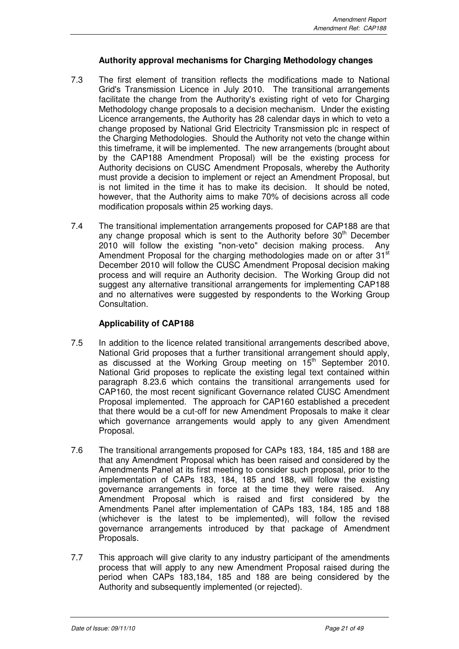## **Authority approval mechanisms for Charging Methodology changes**

- 7.3 The first element of transition reflects the modifications made to National Grid's Transmission Licence in July 2010. The transitional arrangements facilitate the change from the Authority's existing right of veto for Charging Methodology change proposals to a decision mechanism. Under the existing Licence arrangements, the Authority has 28 calendar days in which to veto a change proposed by National Grid Electricity Transmission plc in respect of the Charging Methodologies. Should the Authority not veto the change within this timeframe, it will be implemented. The new arrangements (brought about by the CAP188 Amendment Proposal) will be the existing process for Authority decisions on CUSC Amendment Proposals, whereby the Authority must provide a decision to implement or reject an Amendment Proposal, but is not limited in the time it has to make its decision. It should be noted, however, that the Authority aims to make 70% of decisions across all code modification proposals within 25 working days.
- 7.4 The transitional implementation arrangements proposed for CAP188 are that any change proposal which is sent to the Authority before  $30<sup>th</sup>$  December 2010 will follow the existing "non-veto" decision making process. Any Amendment Proposal for the charging methodologies made on or after 31<sup>st</sup> December 2010 will follow the CUSC Amendment Proposal decision making process and will require an Authority decision. The Working Group did not suggest any alternative transitional arrangements for implementing CAP188 and no alternatives were suggested by respondents to the Working Group Consultation.

## **Applicability of CAP188**

- 7.5 In addition to the licence related transitional arrangements described above, National Grid proposes that a further transitional arrangement should apply, as discussed at the Working Group meeting on 15<sup>th</sup> September 2010. National Grid proposes to replicate the existing legal text contained within paragraph 8.23.6 which contains the transitional arrangements used for CAP160, the most recent significant Governance related CUSC Amendment Proposal implemented. The approach for CAP160 established a precedent that there would be a cut-off for new Amendment Proposals to make it clear which governance arrangements would apply to any given Amendment Proposal.
- 7.6 The transitional arrangements proposed for CAPs 183, 184, 185 and 188 are that any Amendment Proposal which has been raised and considered by the Amendments Panel at its first meeting to consider such proposal, prior to the implementation of CAPs 183, 184, 185 and 188, will follow the existing governance arrangements in force at the time they were raised. Any Amendment Proposal which is raised and first considered by the Amendments Panel after implementation of CAPs 183, 184, 185 and 188 (whichever is the latest to be implemented), will follow the revised governance arrangements introduced by that package of Amendment Proposals.
- 7.7 This approach will give clarity to any industry participant of the amendments process that will apply to any new Amendment Proposal raised during the period when CAPs 183,184, 185 and 188 are being considered by the Authority and subsequently implemented (or rejected).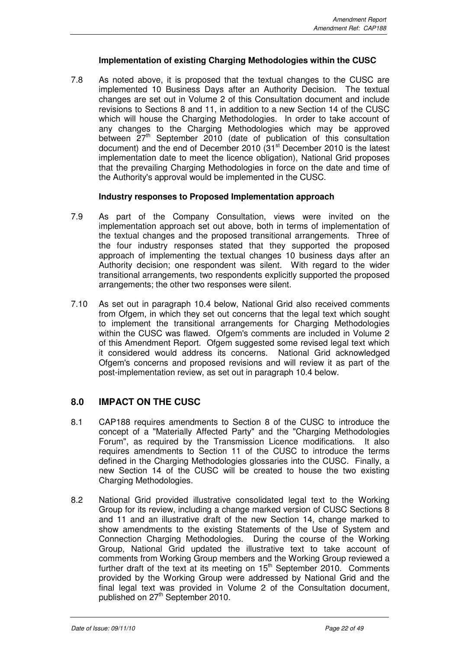## **Implementation of existing Charging Methodologies within the CUSC**

7.8 As noted above, it is proposed that the textual changes to the CUSC are implemented 10 Business Days after an Authority Decision. The textual changes are set out in Volume 2 of this Consultation document and include revisions to Sections 8 and 11, in addition to a new Section 14 of the CUSC which will house the Charging Methodologies. In order to take account of any changes to the Charging Methodologies which may be approved between 27<sup>th</sup> September 2010 (date of publication of this consultation document) and the end of December 2010 (31<sup>st</sup> December 2010 is the latest implementation date to meet the licence obligation), National Grid proposes that the prevailing Charging Methodologies in force on the date and time of the Authority's approval would be implemented in the CUSC.

## **Industry responses to Proposed Implementation approach**

- 7.9 As part of the Company Consultation, views were invited on the implementation approach set out above, both in terms of implementation of the textual changes and the proposed transitional arrangements. Three of the four industry responses stated that they supported the proposed approach of implementing the textual changes 10 business days after an Authority decision; one respondent was silent. With regard to the wider transitional arrangements, two respondents explicitly supported the proposed arrangements; the other two responses were silent.
- 7.10 As set out in paragraph 10.4 below, National Grid also received comments from Ofgem, in which they set out concerns that the legal text which sought to implement the transitional arrangements for Charging Methodologies within the CUSC was flawed. Ofgem's comments are included in Volume 2 of this Amendment Report. Ofgem suggested some revised legal text which it considered would address its concerns. National Grid acknowledged Ofgem's concerns and proposed revisions and will review it as part of the post-implementation review, as set out in paragraph 10.4 below.

## **8.0 IMPACT ON THE CUSC**

- 8.1 CAP188 requires amendments to Section 8 of the CUSC to introduce the concept of a "Materially Affected Party" and the "Charging Methodologies Forum", as required by the Transmission Licence modifications. It also requires amendments to Section 11 of the CUSC to introduce the terms defined in the Charging Methodologies glossaries into the CUSC. Finally, a new Section 14 of the CUSC will be created to house the two existing Charging Methodologies.
- 8.2 National Grid provided illustrative consolidated legal text to the Working Group for its review, including a change marked version of CUSC Sections 8 and 11 and an illustrative draft of the new Section 14, change marked to show amendments to the existing Statements of the Use of System and Connection Charging Methodologies. During the course of the Working Group, National Grid updated the illustrative text to take account of comments from Working Group members and the Working Group reviewed a further draft of the text at its meeting on  $15<sup>th</sup>$  September 2010. Comments provided by the Working Group were addressed by National Grid and the final legal text was provided in Volume 2 of the Consultation document, published on 27<sup>th</sup> September 2010.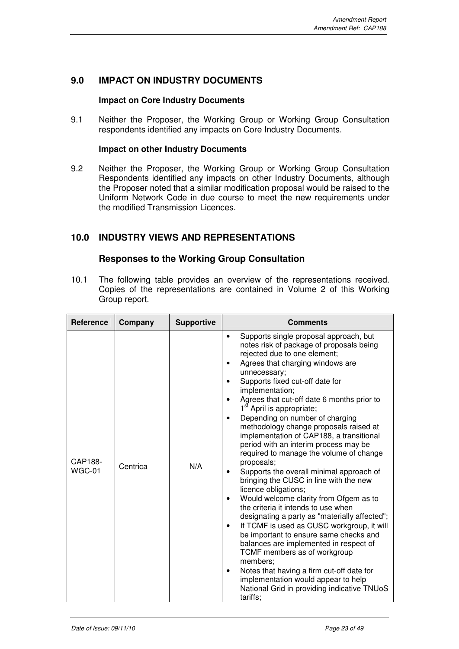## **9.0 IMPACT ON INDUSTRY DOCUMENTS**

## **Impact on Core Industry Documents**

9.1 Neither the Proposer, the Working Group or Working Group Consultation respondents identified any impacts on Core Industry Documents.

## **Impact on other Industry Documents**

9.2 Neither the Proposer, the Working Group or Working Group Consultation Respondents identified any impacts on other Industry Documents, although the Proposer noted that a similar modification proposal would be raised to the Uniform Network Code in due course to meet the new requirements under the modified Transmission Licences.

## **10.0 INDUSTRY VIEWS AND REPRESENTATIONS**

## **Responses to the Working Group Consultation**

10.1 The following table provides an overview of the representations received. Copies of the representations are contained in Volume 2 of this Working Group report.

| Reference         | Company  | <b>Supportive</b> | <b>Comments</b>                                                                                                                                                                                                                                                                                                                                                                                                                                                                                                                                                                                                                                                                                                                                                                                                                                                                                                                                                                                                                                                                                                             |
|-------------------|----------|-------------------|-----------------------------------------------------------------------------------------------------------------------------------------------------------------------------------------------------------------------------------------------------------------------------------------------------------------------------------------------------------------------------------------------------------------------------------------------------------------------------------------------------------------------------------------------------------------------------------------------------------------------------------------------------------------------------------------------------------------------------------------------------------------------------------------------------------------------------------------------------------------------------------------------------------------------------------------------------------------------------------------------------------------------------------------------------------------------------------------------------------------------------|
| CAP188-<br>WGC-01 | Centrica | N/A               | Supports single proposal approach, but<br>notes risk of package of proposals being<br>rejected due to one element;<br>Agrees that charging windows are<br>unnecessary;<br>Supports fixed cut-off date for<br>implementation;<br>Agrees that cut-off date 6 months prior to<br>1 <sup>st</sup> April is appropriate;<br>Depending on number of charging<br>methodology change proposals raised at<br>implementation of CAP188, a transitional<br>period with an interim process may be<br>required to manage the volume of change<br>proposals;<br>Supports the overall minimal approach of<br>bringing the CUSC in line with the new<br>licence obligations;<br>Would welcome clarity from Ofgem as to<br>the criteria it intends to use when<br>designating a party as "materially affected";<br>If TCMF is used as CUSC workgroup, it will<br>be important to ensure same checks and<br>balances are implemented in respect of<br>TCMF members as of workgroup<br>members;<br>Notes that having a firm cut-off date for<br>implementation would appear to help<br>National Grid in providing indicative TNUoS<br>tariffs: |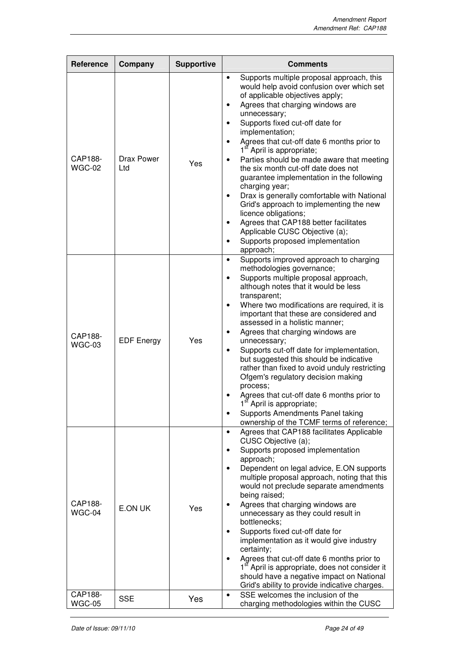| <b>Reference</b>         | Company           | <b>Supportive</b> | <b>Comments</b>                                                                                                                                                                                                                                                                                                                                                                                                                                                                                                                                                                                                                                                                                                                                                                                                |
|--------------------------|-------------------|-------------------|----------------------------------------------------------------------------------------------------------------------------------------------------------------------------------------------------------------------------------------------------------------------------------------------------------------------------------------------------------------------------------------------------------------------------------------------------------------------------------------------------------------------------------------------------------------------------------------------------------------------------------------------------------------------------------------------------------------------------------------------------------------------------------------------------------------|
| CAP188-<br>WGC-02        | Drax Power<br>Ltd | Yes               | Supports multiple proposal approach, this<br>$\bullet$<br>would help avoid confusion over which set<br>of applicable objectives apply;<br>Agrees that charging windows are<br>٠<br>unnecessary;<br>Supports fixed cut-off date for<br>implementation;<br>Agrees that cut-off date 6 months prior to<br>$\bullet$<br>1 <sup>st</sup> April is appropriate;<br>Parties should be made aware that meeting<br>$\bullet$<br>the six month cut-off date does not<br>guarantee implementation in the following<br>charging year;<br>Drax is generally comfortable with National<br>$\bullet$<br>Grid's approach to implementing the new<br>licence obligations;<br>Agrees that CAP188 better facilitates<br>$\bullet$<br>Applicable CUSC Objective (a);<br>Supports proposed implementation<br>$\bullet$<br>approach; |
| CAP188-<br>WGC-03        | <b>EDF Energy</b> | Yes               | Supports improved approach to charging<br>$\bullet$<br>methodologies governance;<br>Supports multiple proposal approach,<br>$\bullet$<br>although notes that it would be less<br>transparent;<br>Where two modifications are required, it is<br>important that these are considered and<br>assessed in a holistic manner;<br>Agrees that charging windows are<br>٠<br>unnecessary;<br>Supports cut-off date for implementation,<br>but suggested this should be indicative<br>rather than fixed to avoid unduly restricting<br>Ofgem's regulatory decision making<br>process;<br>Agrees that cut-off date 6 months prior to<br>1st April is appropriate;<br>Supports Amendments Panel taking<br>ownership of the TCMF terms of reference;                                                                      |
| CAP188-<br>WGC-04        | E.ON UK           | Yes               | Agrees that CAP188 facilitates Applicable<br>$\bullet$<br>CUSC Objective (a);<br>Supports proposed implementation<br>$\bullet$<br>approach;<br>Dependent on legal advice, E.ON supports<br>$\bullet$<br>multiple proposal approach, noting that this<br>would not preclude separate amendments<br>being raised;<br>Agrees that charging windows are<br>unnecessary as they could result in<br>bottlenecks;<br>Supports fixed cut-off date for<br>implementation as it would give industry<br>certainty;<br>Agrees that cut-off date 6 months prior to<br>1 <sup>st</sup> April is appropriate, does not consider it<br>should have a negative impact on National<br>Grid's ability to provide indicative charges.                                                                                              |
| CAP188-<br><b>WGC-05</b> | <b>SSE</b>        | Yes               | SSE welcomes the inclusion of the<br>$\bullet$<br>charging methodologies within the CUSC                                                                                                                                                                                                                                                                                                                                                                                                                                                                                                                                                                                                                                                                                                                       |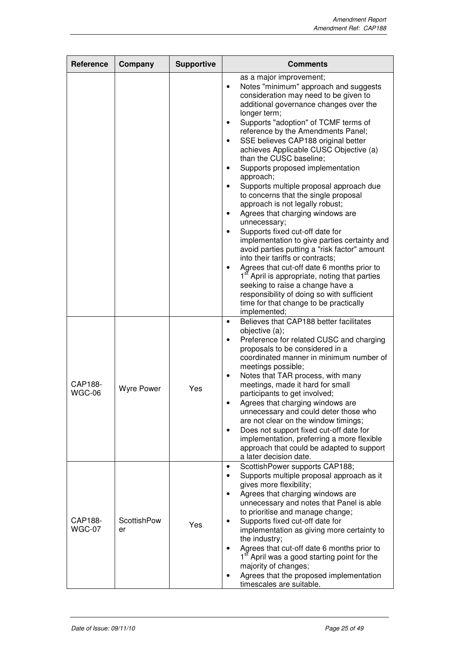| Reference         | Company           | <b>Supportive</b> | <b>Comments</b>                                                                                                                                                                                                                                                                                                                                                                                                                                                                                                                                                                                                                                                                                                                                                                                                                                                                                                                                                                                                                                                                                                   |
|-------------------|-------------------|-------------------|-------------------------------------------------------------------------------------------------------------------------------------------------------------------------------------------------------------------------------------------------------------------------------------------------------------------------------------------------------------------------------------------------------------------------------------------------------------------------------------------------------------------------------------------------------------------------------------------------------------------------------------------------------------------------------------------------------------------------------------------------------------------------------------------------------------------------------------------------------------------------------------------------------------------------------------------------------------------------------------------------------------------------------------------------------------------------------------------------------------------|
|                   |                   |                   | as a major improvement;<br>Notes "minimum" approach and suggests<br>$\bullet$<br>consideration may need to be given to<br>additional governance changes over the<br>longer term;<br>Supports "adoption" of TCMF terms of<br>reference by the Amendments Panel;<br>SSE believes CAP188 original better<br>$\bullet$<br>achieves Applicable CUSC Objective (a)<br>than the CUSC baseline;<br>Supports proposed implementation<br>$\bullet$<br>approach;<br>Supports multiple proposal approach due<br>$\bullet$<br>to concerns that the single proposal<br>approach is not legally robust;<br>Agrees that charging windows are<br>$\bullet$<br>unnecessary;<br>Supports fixed cut-off date for<br>$\bullet$<br>implementation to give parties certainty and<br>avoid parties putting a "risk factor" amount<br>into their tariffs or contracts:<br>Agrees that cut-off date 6 months prior to<br>$\bullet$<br>1 <sup>st</sup> April is appropriate, noting that parties<br>seeking to raise a change have a<br>responsibility of doing so with sufficient<br>time for that change to be practically<br>implemented; |
| CAP188-<br>WGC-06 | <b>Wyre Power</b> | Yes               | Believes that CAP188 better facilitates<br>$\bullet$<br>objective (a);<br>Preference for related CUSC and charging<br>$\bullet$<br>proposals to be considered in a<br>coordinated manner in minimum number of<br>meetings possible;<br>Notes that TAR process, with many<br>$\bullet$<br>meetings, made it hard for small<br>participants to get involved;<br>Agrees that charging windows are<br>unnecessary and could deter those who<br>are not clear on the window timings;<br>Does not support fixed cut-off date for<br>$\bullet$<br>implementation, preferring a more flexible<br>approach that could be adapted to support<br>a later decision date.                                                                                                                                                                                                                                                                                                                                                                                                                                                      |
| CAP188-<br>WGC-07 | ScottishPow<br>er | Yes               | ScottishPower supports CAP188;<br>$\bullet$<br>Supports multiple proposal approach as it<br>gives more flexibility;<br>Agrees that charging windows are<br>$\bullet$<br>unnecessary and notes that Panel is able<br>to prioritise and manage change;<br>Supports fixed cut-off date for<br>implementation as giving more certainty to<br>the industry;<br>Agrees that cut-off date 6 months prior to<br>1 <sup>st</sup> April was a good starting point for the<br>majority of changes;<br>Agrees that the proposed implementation<br>timescales are suitable.                                                                                                                                                                                                                                                                                                                                                                                                                                                                                                                                                    |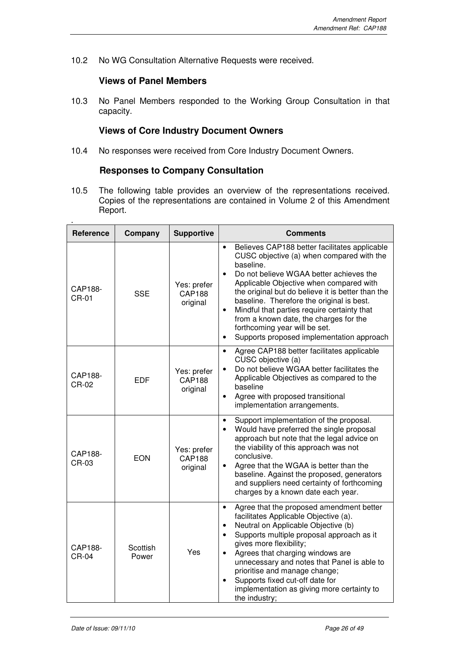10.2 No WG Consultation Alternative Requests were received.

## **Views of Panel Members**

10.3 No Panel Members responded to the Working Group Consultation in that capacity.

## **Views of Core Industry Document Owners**

10.4 No responses were received from Core Industry Document Owners.

## **Responses to Company Consultation**

10.5 The following table provides an overview of the representations received. Copies of the representations are contained in Volume 2 of this Amendment Report.

| Reference               | Company           | <b>Supportive</b>                        | <b>Comments</b>                                                                                                                                                                                                                                                                                                                                                                                                                                                                                                            |
|-------------------------|-------------------|------------------------------------------|----------------------------------------------------------------------------------------------------------------------------------------------------------------------------------------------------------------------------------------------------------------------------------------------------------------------------------------------------------------------------------------------------------------------------------------------------------------------------------------------------------------------------|
| CAP188-<br><b>CR-01</b> | <b>SSE</b>        | Yes: prefer<br><b>CAP188</b><br>original | Believes CAP188 better facilitates applicable<br>$\bullet$<br>CUSC objective (a) when compared with the<br>baseline.<br>Do not believe WGAA better achieves the<br>$\bullet$<br>Applicable Objective when compared with<br>the original but do believe it is better than the<br>baseline. Therefore the original is best.<br>Mindful that parties require certainty that<br>$\bullet$<br>from a known date, the charges for the<br>forthcoming year will be set.<br>Supports proposed implementation approach<br>$\bullet$ |
| CAP188-<br>CR-02        | <b>EDF</b>        | Yes: prefer<br><b>CAP188</b><br>original | Agree CAP188 better facilitates applicable<br>$\bullet$<br>CUSC objective (a)<br>Do not believe WGAA better facilitates the<br>$\bullet$<br>Applicable Objectives as compared to the<br>baseline<br>Agree with proposed transitional<br>$\bullet$<br>implementation arrangements.                                                                                                                                                                                                                                          |
| CAP188-<br>CR-03        | <b>EON</b>        | Yes: prefer<br><b>CAP188</b><br>original | Support implementation of the proposal.<br>$\bullet$<br>Would have preferred the single proposal<br>$\bullet$<br>approach but note that the legal advice on<br>the viability of this approach was not<br>conclusive.<br>Agree that the WGAA is better than the<br>$\bullet$<br>baseline. Against the proposed, generators<br>and suppliers need certainty of forthcoming<br>charges by a known date each year.                                                                                                             |
| CAP188-<br>$CR-04$      | Scottish<br>Power | Yes                                      | Agree that the proposed amendment better<br>$\bullet$<br>facilitates Applicable Objective (a).<br>Neutral on Applicable Objective (b)<br>$\bullet$<br>Supports multiple proposal approach as it<br>$\bullet$<br>gives more flexibility;<br>Agrees that charging windows are<br>$\bullet$<br>unnecessary and notes that Panel is able to<br>prioritise and manage change;<br>Supports fixed cut-off date for<br>$\bullet$<br>implementation as giving more certainty to<br>the industry;                                    |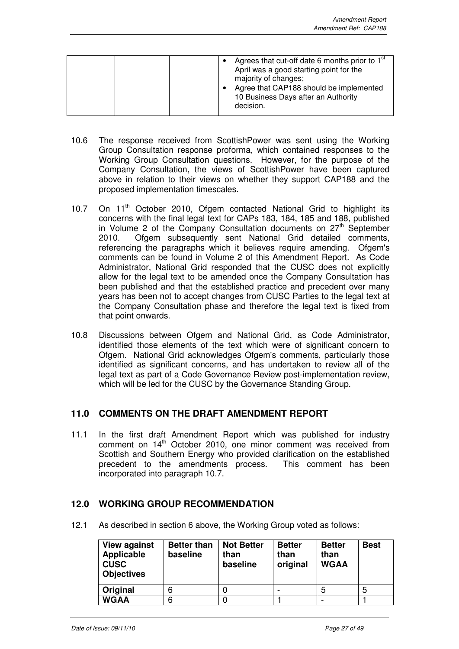|  | Agrees that cut-off date 6 months prior to $1st$<br>April was a good starting point for the<br>majority of changes;<br>Agree that CAP188 should be implemented<br>10 Business Days after an Authority<br>decision. |
|--|--------------------------------------------------------------------------------------------------------------------------------------------------------------------------------------------------------------------|
|--|--------------------------------------------------------------------------------------------------------------------------------------------------------------------------------------------------------------------|

- 10.6 The response received from ScottishPower was sent using the Working Group Consultation response proforma, which contained responses to the Working Group Consultation questions. However, for the purpose of the Company Consultation, the views of ScottishPower have been captured above in relation to their views on whether they support CAP188 and the proposed implementation timescales.
- 10.7 On 11<sup>th</sup> October 2010, Ofgem contacted National Grid to highlight its concerns with the final legal text for CAPs 183, 184, 185 and 188, published in Volume 2 of the Company Consultation documents on  $27<sup>th</sup>$  September 2010. Ofgem subsequently sent National Grid detailed comments, referencing the paragraphs which it believes require amending. Ofgem's comments can be found in Volume 2 of this Amendment Report. As Code Administrator, National Grid responded that the CUSC does not explicitly allow for the legal text to be amended once the Company Consultation has been published and that the established practice and precedent over many years has been not to accept changes from CUSC Parties to the legal text at the Company Consultation phase and therefore the legal text is fixed from that point onwards.
- 10.8 Discussions between Ofgem and National Grid, as Code Administrator, identified those elements of the text which were of significant concern to Ofgem. National Grid acknowledges Ofgem's comments, particularly those identified as significant concerns, and has undertaken to review all of the legal text as part of a Code Governance Review post-implementation review, which will be led for the CUSC by the Governance Standing Group.

## **11.0 COMMENTS ON THE DRAFT AMENDMENT REPORT**

11.1 In the first draft Amendment Report which was published for industry comment on 14<sup>th</sup> October 2010, one minor comment was received from Scottish and Southern Energy who provided clarification on the established precedent to the amendments process. This comment has been incorporated into paragraph 10.7.

## **12.0 WORKING GROUP RECOMMENDATION**

12.1 As described in section 6 above, the Working Group voted as follows:

| <b>View against</b><br>Applicable<br><b>CUSC</b><br><b>Objectives</b> | <b>Better than</b><br>baseline | <b>Not Better</b><br>than<br>baseline | <b>Better</b><br>than<br>original | <b>Better</b><br>than<br><b>WGAA</b> | <b>Best</b> |
|-----------------------------------------------------------------------|--------------------------------|---------------------------------------|-----------------------------------|--------------------------------------|-------------|
| Original                                                              | 6                              |                                       |                                   | h                                    | 5           |
| <b>WGAA</b>                                                           | 6                              |                                       |                                   |                                      |             |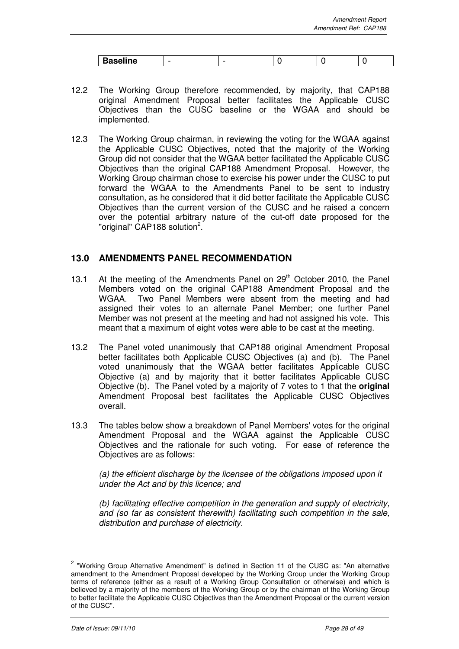| <b>Baseline</b> |  |  |  |
|-----------------|--|--|--|

- 12.2 The Working Group therefore recommended, by majority, that CAP188 original Amendment Proposal better facilitates the Applicable CUSC Objectives than the CUSC baseline or the WGAA and should be implemented.
- 12.3 The Working Group chairman, in reviewing the voting for the WGAA against the Applicable CUSC Objectives, noted that the majority of the Working Group did not consider that the WGAA better facilitated the Applicable CUSC Objectives than the original CAP188 Amendment Proposal. However, the Working Group chairman chose to exercise his power under the CUSC to put forward the WGAA to the Amendments Panel to be sent to industry consultation, as he considered that it did better facilitate the Applicable CUSC Objectives than the current version of the CUSC and he raised a concern over the potential arbitrary nature of the cut-off date proposed for the "original" CAP188 solution<sup>2</sup>.

## **13.0 AMENDMENTS PANEL RECOMMENDATION**

- 13.1 At the meeting of the Amendments Panel on 29<sup>th</sup> October 2010, the Panel Members voted on the original CAP188 Amendment Proposal and the WGAA. Two Panel Members were absent from the meeting and had assigned their votes to an alternate Panel Member; one further Panel Member was not present at the meeting and had not assigned his vote. This meant that a maximum of eight votes were able to be cast at the meeting.
- 13.2 The Panel voted unanimously that CAP188 original Amendment Proposal better facilitates both Applicable CUSC Objectives (a) and (b). The Panel voted unanimously that the WGAA better facilitates Applicable CUSC Objective (a) and by majority that it better facilitates Applicable CUSC Objective (b). The Panel voted by a majority of 7 votes to 1 that the **original** Amendment Proposal best facilitates the Applicable CUSC Objectives overall.
- 13.3 The tables below show a breakdown of Panel Members' votes for the original Amendment Proposal and the WGAA against the Applicable CUSC Objectives and the rationale for such voting. For ease of reference the Objectives are as follows:

(a) the efficient discharge by the licensee of the obligations imposed upon it under the Act and by this licence; and

(b) facilitating effective competition in the generation and supply of electricity, and (so far as consistent therewith) facilitating such competition in the sale, distribution and purchase of electricity.

 2 "Working Group Alternative Amendment" is defined in Section 11 of the CUSC as: "An alternative amendment to the Amendment Proposal developed by the Working Group under the Working Group terms of reference (either as a result of a Working Group Consultation or otherwise) and which is believed by a majority of the members of the Working Group or by the chairman of the Working Group to better facilitate the Applicable CUSC Objectives than the Amendment Proposal or the current version of the CUSC".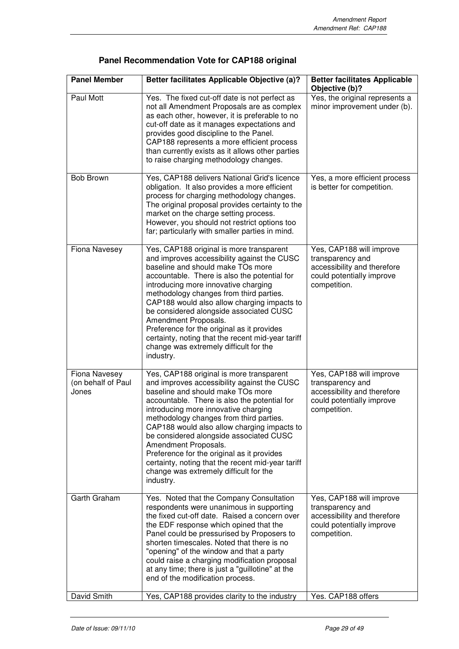| <b>Panel Member</b>                          | Better facilitates Applicable Objective (a)?                                                                                                                                                                                                                                                                                                                                                                                                                                                                                                | <b>Better facilitates Applicable</b><br>Objective (b)?                                                                   |
|----------------------------------------------|---------------------------------------------------------------------------------------------------------------------------------------------------------------------------------------------------------------------------------------------------------------------------------------------------------------------------------------------------------------------------------------------------------------------------------------------------------------------------------------------------------------------------------------------|--------------------------------------------------------------------------------------------------------------------------|
| Paul Mott                                    | Yes. The fixed cut-off date is not perfect as<br>not all Amendment Proposals are as complex<br>as each other, however, it is preferable to no<br>cut-off date as it manages expectations and<br>provides good discipline to the Panel.<br>CAP188 represents a more efficient process<br>than currently exists as it allows other parties<br>to raise charging methodology changes.                                                                                                                                                          | Yes, the original represents a<br>minor improvement under (b).                                                           |
| <b>Bob Brown</b>                             | Yes, CAP188 delivers National Grid's licence<br>obligation. It also provides a more efficient<br>process for charging methodology changes.<br>The original proposal provides certainty to the<br>market on the charge setting process.<br>However, you should not restrict options too<br>far; particularly with smaller parties in mind.                                                                                                                                                                                                   | Yes, a more efficient process<br>is better for competition.                                                              |
| Fiona Navesey                                | Yes, CAP188 original is more transparent<br>and improves accessibility against the CUSC<br>baseline and should make TOs more<br>accountable. There is also the potential for<br>introducing more innovative charging<br>methodology changes from third parties.<br>CAP188 would also allow charging impacts to<br>be considered alongside associated CUSC<br>Amendment Proposals.<br>Preference for the original as it provides<br>certainty, noting that the recent mid-year tariff<br>change was extremely difficult for the<br>industry. | Yes, CAP188 will improve<br>transparency and<br>accessibility and therefore<br>could potentially improve<br>competition. |
| Fiona Navesey<br>(on behalf of Paul<br>Jones | Yes, CAP188 original is more transparent<br>and improves accessibility against the CUSC<br>baseline and should make TOs more<br>accountable. There is also the potential for<br>introducing more innovative charging<br>methodology changes from third parties.<br>CAP188 would also allow charging impacts to<br>be considered alongside associated CUSC<br>Amendment Proposals.<br>Preference for the original as it provides<br>certainty, noting that the recent mid-year tariff<br>change was extremely difficult for the<br>industry. | Yes, CAP188 will improve<br>transparency and<br>accessibility and therefore<br>could potentially improve<br>competition. |
| Garth Graham                                 | Yes. Noted that the Company Consultation<br>respondents were unanimous in supporting<br>the fixed cut-off date. Raised a concern over<br>the EDF response which opined that the<br>Panel could be pressurised by Proposers to<br>shorten timescales. Noted that there is no<br>"opening" of the window and that a party<br>could raise a charging modification proposal<br>at any time; there is just a "guillotine" at the<br>end of the modification process.                                                                             | Yes, CAP188 will improve<br>transparency and<br>accessibility and therefore<br>could potentially improve<br>competition. |
| David Smith                                  | Yes, CAP188 provides clarity to the industry                                                                                                                                                                                                                                                                                                                                                                                                                                                                                                | Yes. CAP188 offers                                                                                                       |

| Panel Recommendation Vote for CAP188 original |  |  |  |
|-----------------------------------------------|--|--|--|
|-----------------------------------------------|--|--|--|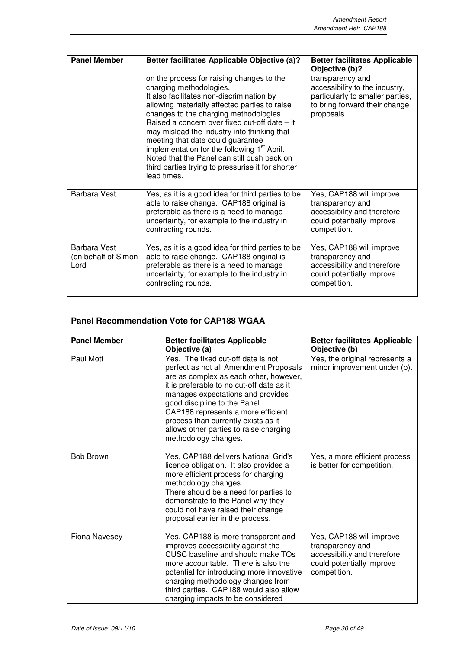| <b>Panel Member</b>                                | <b>Better facilitates Applicable Objective (a)?</b>                                                                                                                                                                                                                                                                                                                                                                                                                                                                             | <b>Better facilitates Applicable</b><br>Objective (b)?                                                                                |
|----------------------------------------------------|---------------------------------------------------------------------------------------------------------------------------------------------------------------------------------------------------------------------------------------------------------------------------------------------------------------------------------------------------------------------------------------------------------------------------------------------------------------------------------------------------------------------------------|---------------------------------------------------------------------------------------------------------------------------------------|
|                                                    | on the process for raising changes to the<br>charging methodologies.<br>It also facilitates non-discrimination by<br>allowing materially affected parties to raise<br>changes to the charging methodologies.<br>Raised a concern over fixed cut-off date - it<br>may mislead the industry into thinking that<br>meeting that date could guarantee<br>implementation for the following 1 <sup>st</sup> April.<br>Noted that the Panel can still push back on<br>third parties trying to pressurise it for shorter<br>lead times. | transparency and<br>accessibility to the industry,<br>particularly to smaller parties,<br>to bring forward their change<br>proposals. |
| <b>Barbara Vest</b>                                | Yes, as it is a good idea for third parties to be<br>able to raise change. CAP188 original is<br>preferable as there is a need to manage<br>uncertainty, for example to the industry in<br>contracting rounds.                                                                                                                                                                                                                                                                                                                  | Yes, CAP188 will improve<br>transparency and<br>accessibility and therefore<br>could potentially improve<br>competition.              |
| <b>Barbara Vest</b><br>(on behalf of Simon<br>Lord | Yes, as it is a good idea for third parties to be<br>able to raise change. CAP188 original is<br>preferable as there is a need to manage<br>uncertainty, for example to the industry in<br>contracting rounds.                                                                                                                                                                                                                                                                                                                  | Yes, CAP188 will improve<br>transparency and<br>accessibility and therefore<br>could potentially improve<br>competition.              |

# **Panel Recommendation Vote for CAP188 WGAA**

| <b>Panel Member</b> | <b>Better facilitates Applicable</b><br>Objective (a)                                                                                                                                                                                                                                                                                                                                    | <b>Better facilitates Applicable</b><br>Objective (b)                                                                    |
|---------------------|------------------------------------------------------------------------------------------------------------------------------------------------------------------------------------------------------------------------------------------------------------------------------------------------------------------------------------------------------------------------------------------|--------------------------------------------------------------------------------------------------------------------------|
| Paul Mott           | Yes. The fixed cut-off date is not<br>perfect as not all Amendment Proposals<br>are as complex as each other, however,<br>it is preferable to no cut-off date as it<br>manages expectations and provides<br>good discipline to the Panel.<br>CAP188 represents a more efficient<br>process than currently exists as it<br>allows other parties to raise charging<br>methodology changes. | Yes, the original represents a<br>minor improvement under (b).                                                           |
| <b>Bob Brown</b>    | Yes, CAP188 delivers National Grid's<br>licence obligation. It also provides a<br>more efficient process for charging<br>methodology changes.<br>There should be a need for parties to<br>demonstrate to the Panel why they<br>could not have raised their change<br>proposal earlier in the process.                                                                                    | Yes, a more efficient process<br>is better for competition.                                                              |
| Fiona Navesey       | Yes, CAP188 is more transparent and<br>improves accessibility against the<br>CUSC baseline and should make TOs<br>more accountable. There is also the<br>potential for introducing more innovative<br>charging methodology changes from<br>third parties. CAP188 would also allow<br>charging impacts to be considered                                                                   | Yes, CAP188 will improve<br>transparency and<br>accessibility and therefore<br>could potentially improve<br>competition. |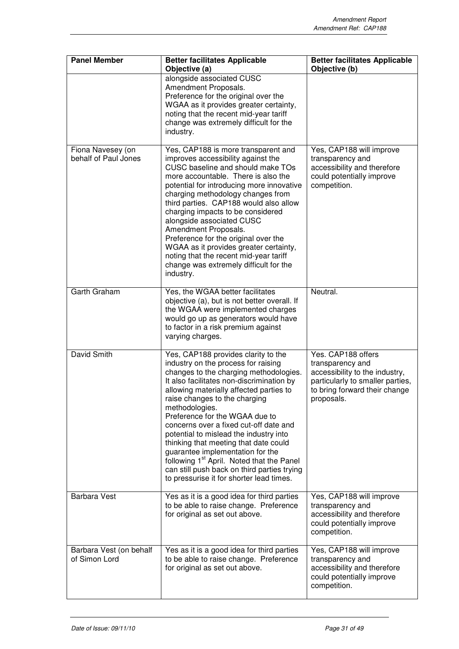| <b>Panel Member</b>                       | <b>Better facilitates Applicable</b><br>Objective (a)                                                                                                                                                                                                                                                                                                                                                                                                                                                                                                                                                                  | <b>Better facilitates Applicable</b><br>Objective (b)                                                                                                       |  |
|-------------------------------------------|------------------------------------------------------------------------------------------------------------------------------------------------------------------------------------------------------------------------------------------------------------------------------------------------------------------------------------------------------------------------------------------------------------------------------------------------------------------------------------------------------------------------------------------------------------------------------------------------------------------------|-------------------------------------------------------------------------------------------------------------------------------------------------------------|--|
|                                           | alongside associated CUSC<br>Amendment Proposals.<br>Preference for the original over the<br>WGAA as it provides greater certainty,<br>noting that the recent mid-year tariff<br>change was extremely difficult for the<br>industry.                                                                                                                                                                                                                                                                                                                                                                                   |                                                                                                                                                             |  |
| Fiona Navesey (on<br>behalf of Paul Jones | Yes, CAP188 is more transparent and<br>improves accessibility against the<br>CUSC baseline and should make TOs<br>more accountable. There is also the<br>potential for introducing more innovative<br>charging methodology changes from<br>third parties. CAP188 would also allow<br>charging impacts to be considered<br>alongside associated CUSC<br>Amendment Proposals.<br>Preference for the original over the<br>WGAA as it provides greater certainty,<br>noting that the recent mid-year tariff<br>change was extremely difficult for the<br>industry.                                                         | Yes, CAP188 will improve<br>transparency and<br>accessibility and therefore<br>could potentially improve<br>competition.                                    |  |
| Garth Graham                              | Yes, the WGAA better facilitates<br>objective (a), but is not better overall. If<br>the WGAA were implemented charges<br>would go up as generators would have<br>to factor in a risk premium against<br>varying charges.                                                                                                                                                                                                                                                                                                                                                                                               | Neutral.                                                                                                                                                    |  |
| David Smith                               | Yes, CAP188 provides clarity to the<br>industry on the process for raising<br>changes to the charging methodologies.<br>It also facilitates non-discrimination by<br>allowing materially affected parties to<br>raise changes to the charging<br>methodologies.<br>Preference for the WGAA due to<br>concerns over a fixed cut-off date and<br>potential to mislead the industry into<br>thinking that meeting that date could<br>guarantee implementation for the<br>following 1 <sup>st</sup> April. Noted that the Panel<br>can still push back on third parties trying<br>to pressurise it for shorter lead times. | Yes. CAP188 offers<br>transparency and<br>accessibility to the industry,<br>particularly to smaller parties,<br>to bring forward their change<br>proposals. |  |
| <b>Barbara Vest</b>                       | Yes as it is a good idea for third parties<br>to be able to raise change. Preference<br>for original as set out above.                                                                                                                                                                                                                                                                                                                                                                                                                                                                                                 | Yes, CAP188 will improve<br>transparency and<br>accessibility and therefore<br>could potentially improve<br>competition.                                    |  |
| Barbara Vest (on behalf<br>of Simon Lord  | Yes as it is a good idea for third parties<br>to be able to raise change. Preference<br>for original as set out above.                                                                                                                                                                                                                                                                                                                                                                                                                                                                                                 | Yes, CAP188 will improve<br>transparency and<br>accessibility and therefore<br>could potentially improve<br>competition.                                    |  |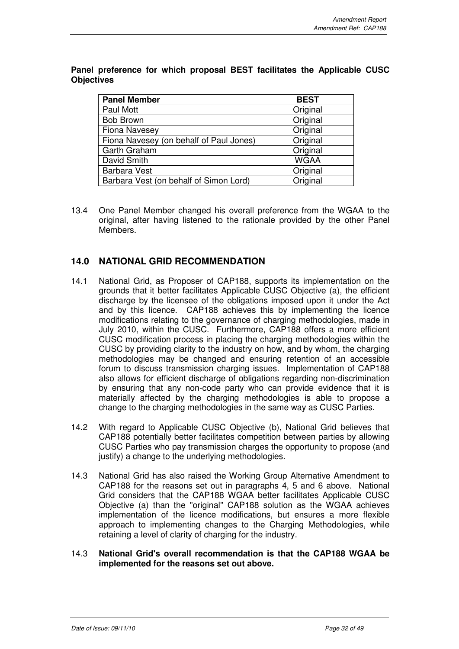| <b>Panel Member</b>                     | <b>BEST</b> |
|-----------------------------------------|-------------|
| Paul Mott                               | Original    |
| <b>Bob Brown</b>                        | Original    |
| <b>Fiona Navesey</b>                    | Original    |
| Fiona Navesey (on behalf of Paul Jones) | Original    |
| Garth Graham                            | Original    |
| David Smith                             | <b>WGAA</b> |
| <b>Barbara Vest</b>                     | Original    |
| Barbara Vest (on behalf of Simon Lord)  | Original    |

**Panel preference for which proposal BEST facilitates the Applicable CUSC Objectives** 

13.4 One Panel Member changed his overall preference from the WGAA to the original, after having listened to the rationale provided by the other Panel Members.

## **14.0 NATIONAL GRID RECOMMENDATION**

- 14.1 National Grid, as Proposer of CAP188, supports its implementation on the grounds that it better facilitates Applicable CUSC Objective (a), the efficient discharge by the licensee of the obligations imposed upon it under the Act and by this licence. CAP188 achieves this by implementing the licence modifications relating to the governance of charging methodologies, made in July 2010, within the CUSC. Furthermore, CAP188 offers a more efficient CUSC modification process in placing the charging methodologies within the CUSC by providing clarity to the industry on how, and by whom, the charging methodologies may be changed and ensuring retention of an accessible forum to discuss transmission charging issues. Implementation of CAP188 also allows for efficient discharge of obligations regarding non-discrimination by ensuring that any non-code party who can provide evidence that it is materially affected by the charging methodologies is able to propose a change to the charging methodologies in the same way as CUSC Parties.
- 14.2 With regard to Applicable CUSC Objective (b), National Grid believes that CAP188 potentially better facilitates competition between parties by allowing CUSC Parties who pay transmission charges the opportunity to propose (and justify) a change to the underlying methodologies.
- 14.3 National Grid has also raised the Working Group Alternative Amendment to CAP188 for the reasons set out in paragraphs 4, 5 and 6 above. National Grid considers that the CAP188 WGAA better facilitates Applicable CUSC Objective (a) than the "original" CAP188 solution as the WGAA achieves implementation of the licence modifications, but ensures a more flexible approach to implementing changes to the Charging Methodologies, while retaining a level of clarity of charging for the industry.
- 14.3 **National Grid's overall recommendation is that the CAP188 WGAA be implemented for the reasons set out above.**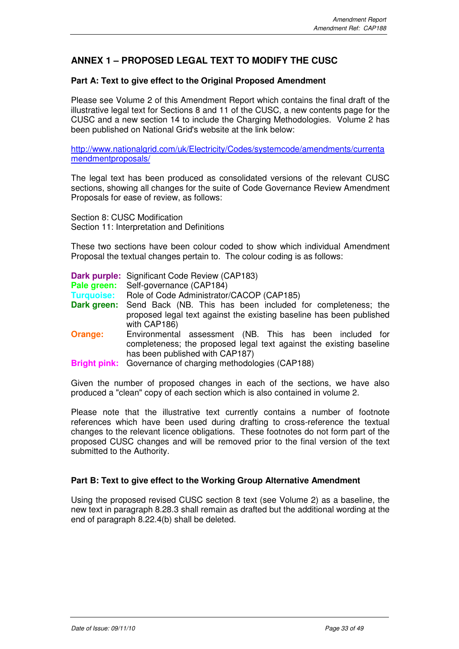## **ANNEX 1 – PROPOSED LEGAL TEXT TO MODIFY THE CUSC**

## **Part A: Text to give effect to the Original Proposed Amendment**

Please see Volume 2 of this Amendment Report which contains the final draft of the illustrative legal text for Sections 8 and 11 of the CUSC, a new contents page for the CUSC and a new section 14 to include the Charging Methodologies. Volume 2 has been published on National Grid's website at the link below:

http://www.nationalgrid.com/uk/Electricity/Codes/systemcode/amendments/currenta mendmentproposals/

The legal text has been produced as consolidated versions of the relevant CUSC sections, showing all changes for the suite of Code Governance Review Amendment Proposals for ease of review, as follows:

Section 8: CUSC Modification Section 11: Interpretation and Definitions

These two sections have been colour coded to show which individual Amendment Proposal the textual changes pertain to. The colour coding is as follows:

**Dark purple:** Significant Code Review (CAP183) **Pale green:** Self-governance (CAP184) **Turquoise:** Role of Code Administrator/CACOP (CAP185) **Dark green:** Send Back (NB. This has been included for completeness; the proposed legal text against the existing baseline has been published with CAP186) **Orange:** Environmental assessment (NB. This has been included for completeness; the proposed legal text against the existing baseline has been published with CAP187) **Bright pink:** Governance of charging methodologies (CAP188)

Given the number of proposed changes in each of the sections, we have also produced a "clean" copy of each section which is also contained in volume 2.

Please note that the illustrative text currently contains a number of footnote references which have been used during drafting to cross-reference the textual changes to the relevant licence obligations. These footnotes do not form part of the proposed CUSC changes and will be removed prior to the final version of the text submitted to the Authority.

## **Part B: Text to give effect to the Working Group Alternative Amendment**

Using the proposed revised CUSC section 8 text (see Volume 2) as a baseline, the new text in paragraph 8.28.3 shall remain as drafted but the additional wording at the end of paragraph 8.22.4(b) shall be deleted.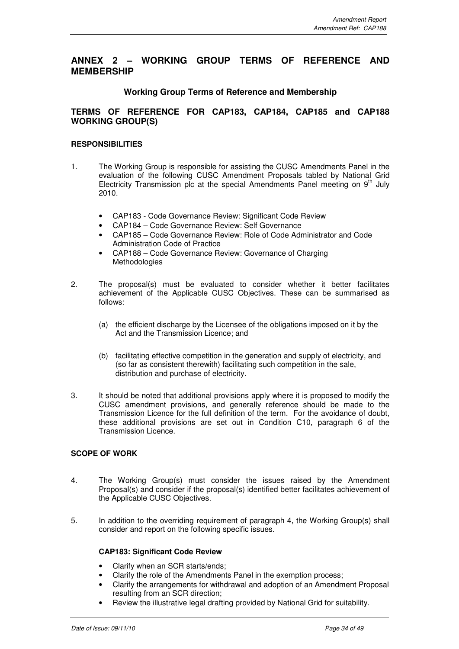## **ANNEX 2 – WORKING GROUP TERMS OF REFERENCE AND MEMBERSHIP**

## **Working Group Terms of Reference and Membership**

## **TERMS OF REFERENCE FOR CAP183, CAP184, CAP185 and CAP188 WORKING GROUP(S)**

## **RESPONSIBILITIES**

- 1. The Working Group is responsible for assisting the CUSC Amendments Panel in the evaluation of the following CUSC Amendment Proposals tabled by National Grid Electricity Transmission plc at the special Amendments Panel meeting on  $9<sup>th</sup>$  July 2010.
	- CAP183 Code Governance Review: Significant Code Review
	- CAP184 Code Governance Review: Self Governance
	- CAP185 Code Governance Review: Role of Code Administrator and Code Administration Code of Practice
	- CAP188 Code Governance Review: Governance of Charging Methodologies
- 2. The proposal(s) must be evaluated to consider whether it better facilitates achievement of the Applicable CUSC Objectives. These can be summarised as follows:
	- (a) the efficient discharge by the Licensee of the obligations imposed on it by the Act and the Transmission Licence; and
	- (b) facilitating effective competition in the generation and supply of electricity, and (so far as consistent therewith) facilitating such competition in the sale, distribution and purchase of electricity.
- 3. It should be noted that additional provisions apply where it is proposed to modify the CUSC amendment provisions, and generally reference should be made to the Transmission Licence for the full definition of the term. For the avoidance of doubt, these additional provisions are set out in Condition C10, paragraph 6 of the Transmission Licence.

## **SCOPE OF WORK**

- 4. The Working Group(s) must consider the issues raised by the Amendment Proposal(s) and consider if the proposal(s) identified better facilitates achievement of the Applicable CUSC Objectives.
- 5. In addition to the overriding requirement of paragraph 4, the Working Group(s) shall consider and report on the following specific issues.

## **CAP183: Significant Code Review**

- Clarify when an SCR starts/ends;
- Clarify the role of the Amendments Panel in the exemption process;
- Clarify the arrangements for withdrawal and adoption of an Amendment Proposal resulting from an SCR direction;
- Review the illustrative legal drafting provided by National Grid for suitability.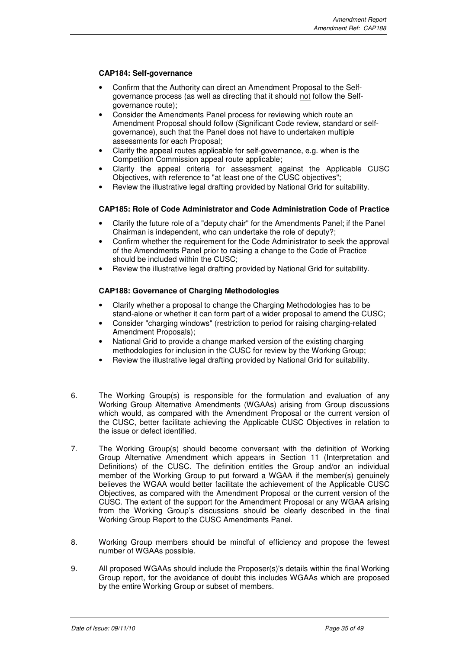## **CAP184: Self-governance**

- Confirm that the Authority can direct an Amendment Proposal to the Selfgovernance process (as well as directing that it should not follow the Selfgovernance route);
- Consider the Amendments Panel process for reviewing which route an Amendment Proposal should follow (Significant Code review, standard or selfgovernance), such that the Panel does not have to undertaken multiple assessments for each Proposal;
- Clarify the appeal routes applicable for self-governance, e.g. when is the Competition Commission appeal route applicable;
- Clarify the appeal criteria for assessment against the Applicable CUSC Objectives, with reference to "at least one of the CUSC objectives";
- Review the illustrative legal drafting provided by National Grid for suitability.

## **CAP185: Role of Code Administrator and Code Administration Code of Practice**

- Clarify the future role of a "deputy chair" for the Amendments Panel; if the Panel Chairman is independent, who can undertake the role of deputy?;
- Confirm whether the requirement for the Code Administrator to seek the approval of the Amendments Panel prior to raising a change to the Code of Practice should be included within the CUSC;
- Review the illustrative legal drafting provided by National Grid for suitability.

## **CAP188: Governance of Charging Methodologies**

- Clarify whether a proposal to change the Charging Methodologies has to be stand-alone or whether it can form part of a wider proposal to amend the CUSC;
- Consider "charging windows" (restriction to period for raising charging-related Amendment Proposals);
- National Grid to provide a change marked version of the existing charging methodologies for inclusion in the CUSC for review by the Working Group;
- Review the illustrative legal drafting provided by National Grid for suitability.
- 6. The Working Group(s) is responsible for the formulation and evaluation of any Working Group Alternative Amendments (WGAAs) arising from Group discussions which would, as compared with the Amendment Proposal or the current version of the CUSC, better facilitate achieving the Applicable CUSC Objectives in relation to the issue or defect identified.
- 7. The Working Group(s) should become conversant with the definition of Working Group Alternative Amendment which appears in Section 11 (Interpretation and Definitions) of the CUSC. The definition entitles the Group and/or an individual member of the Working Group to put forward a WGAA if the member(s) genuinely believes the WGAA would better facilitate the achievement of the Applicable CUSC Objectives, as compared with the Amendment Proposal or the current version of the CUSC. The extent of the support for the Amendment Proposal or any WGAA arising from the Working Group's discussions should be clearly described in the final Working Group Report to the CUSC Amendments Panel.
- 8. Working Group members should be mindful of efficiency and propose the fewest number of WGAAs possible.
- 9. All proposed WGAAs should include the Proposer(s)'s details within the final Working Group report, for the avoidance of doubt this includes WGAAs which are proposed by the entire Working Group or subset of members.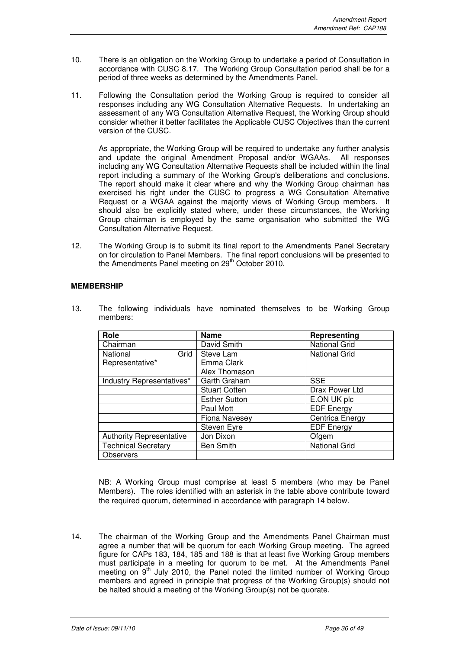- 10. There is an obligation on the Working Group to undertake a period of Consultation in accordance with CUSC 8.17. The Working Group Consultation period shall be for a period of three weeks as determined by the Amendments Panel.
- 11. Following the Consultation period the Working Group is required to consider all responses including any WG Consultation Alternative Requests. In undertaking an assessment of any WG Consultation Alternative Request, the Working Group should consider whether it better facilitates the Applicable CUSC Objectives than the current version of the CUSC.

As appropriate, the Working Group will be required to undertake any further analysis and update the original Amendment Proposal and/or WGAAs. All responses including any WG Consultation Alternative Requests shall be included within the final report including a summary of the Working Group's deliberations and conclusions. The report should make it clear where and why the Working Group chairman has exercised his right under the CUSC to progress a WG Consultation Alternative Request or a WGAA against the majority views of Working Group members. It should also be explicitly stated where, under these circumstances, the Working Group chairman is employed by the same organisation who submitted the WG Consultation Alternative Request.

12. The Working Group is to submit its final report to the Amendments Panel Secretary on for circulation to Panel Members. The final report conclusions will be presented to the Amendments Panel meeting on 29<sup>th</sup> October 2010.

## **MEMBERSHIP**

13. The following individuals have nominated themselves to be Working Group members:

| Role                            | <b>Name</b>          | Representing         |
|---------------------------------|----------------------|----------------------|
| Chairman                        | David Smith          | <b>National Grid</b> |
| Grid<br>National                | Steve Lam            | <b>National Grid</b> |
| Representative*                 | Emma Clark           |                      |
|                                 | Alex Thomason        |                      |
| Industry Representatives*       | Garth Graham         | <b>SSE</b>           |
|                                 | <b>Stuart Cotten</b> | Drax Power Ltd       |
|                                 | <b>Esther Sutton</b> | E.ON UK plc          |
|                                 | Paul Mott            | <b>EDF Energy</b>    |
|                                 | Fiona Navesey        | Centrica Energy      |
|                                 | Steven Eyre          | <b>EDF Energy</b>    |
| <b>Authority Representative</b> | Jon Dixon            | Ofgem                |
| <b>Technical Secretary</b>      | <b>Ben Smith</b>     | <b>National Grid</b> |
| <b>Observers</b>                |                      |                      |

 NB: A Working Group must comprise at least 5 members (who may be Panel Members). The roles identified with an asterisk in the table above contribute toward the required quorum, determined in accordance with paragraph 14 below.

14. The chairman of the Working Group and the Amendments Panel Chairman must agree a number that will be quorum for each Working Group meeting. The agreed figure for CAPs 183, 184, 185 and 188 is that at least five Working Group members must participate in a meeting for quorum to be met. At the Amendments Panel meeting on 9<sup>th</sup> July 2010, the Panel noted the limited number of Working Group members and agreed in principle that progress of the Working Group(s) should not be halted should a meeting of the Working Group(s) not be quorate.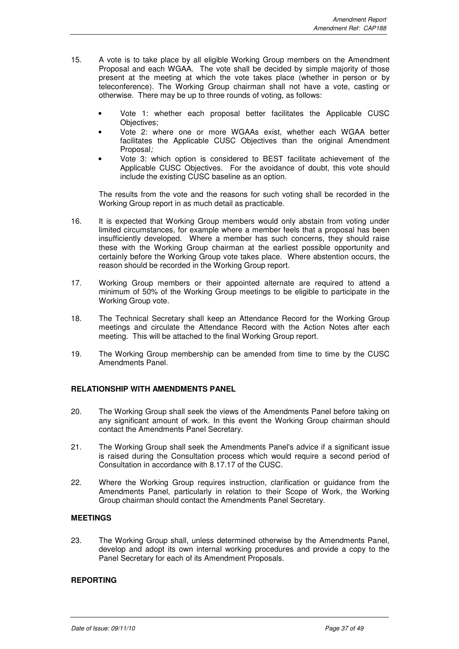- 15. A vote is to take place by all eligible Working Group members on the Amendment Proposal and each WGAA. The vote shall be decided by simple majority of those present at the meeting at which the vote takes place (whether in person or by teleconference). The Working Group chairman shall not have a vote, casting or otherwise. There may be up to three rounds of voting, as follows:
	- Vote 1: whether each proposal better facilitates the Applicable CUSC Objectives;
	- Vote 2: where one or more WGAAs exist, whether each WGAA better facilitates the Applicable CUSC Objectives than the original Amendment Proposal;
	- Vote 3: which option is considered to BEST facilitate achievement of the Applicable CUSC Objectives. For the avoidance of doubt, this vote should include the existing CUSC baseline as an option.

The results from the vote and the reasons for such voting shall be recorded in the Working Group report in as much detail as practicable.

- 16. It is expected that Working Group members would only abstain from voting under limited circumstances, for example where a member feels that a proposal has been insufficiently developed. Where a member has such concerns, they should raise these with the Working Group chairman at the earliest possible opportunity and certainly before the Working Group vote takes place. Where abstention occurs, the reason should be recorded in the Working Group report.
- 17. Working Group members or their appointed alternate are required to attend a minimum of 50% of the Working Group meetings to be eligible to participate in the Working Group vote.
- 18. The Technical Secretary shall keep an Attendance Record for the Working Group meetings and circulate the Attendance Record with the Action Notes after each meeting. This will be attached to the final Working Group report.
- 19. The Working Group membership can be amended from time to time by the CUSC Amendments Panel.

## **RELATIONSHIP WITH AMENDMENTS PANEL**

- 20. The Working Group shall seek the views of the Amendments Panel before taking on any significant amount of work. In this event the Working Group chairman should contact the Amendments Panel Secretary.
- 21. The Working Group shall seek the Amendments Panel's advice if a significant issue is raised during the Consultation process which would require a second period of Consultation in accordance with 8.17.17 of the CUSC.
- 22. Where the Working Group requires instruction, clarification or guidance from the Amendments Panel, particularly in relation to their Scope of Work, the Working Group chairman should contact the Amendments Panel Secretary.

## **MEETINGS**

23. The Working Group shall, unless determined otherwise by the Amendments Panel, develop and adopt its own internal working procedures and provide a copy to the Panel Secretary for each of its Amendment Proposals.

## **REPORTING**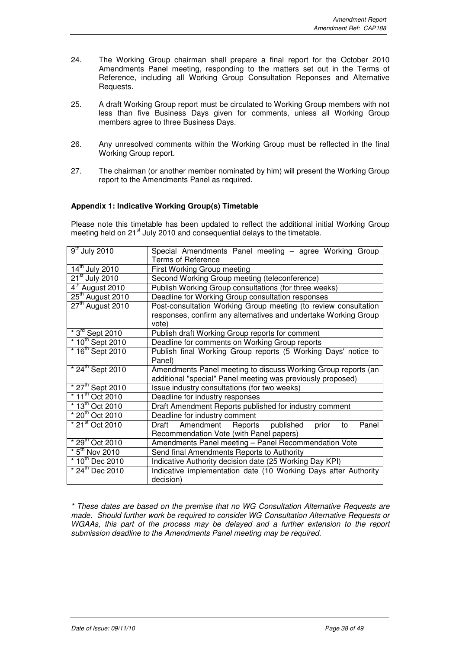- 24. The Working Group chairman shall prepare a final report for the October 2010 Amendments Panel meeting, responding to the matters set out in the Terms of Reference, including all Working Group Consultation Reponses and Alternative Requests.
- 25. A draft Working Group report must be circulated to Working Group members with not less than five Business Days given for comments, unless all Working Group members agree to three Business Days.
- 26. Any unresolved comments within the Working Group must be reflected in the final Working Group report.
- 27. The chairman (or another member nominated by him) will present the Working Group report to the Amendments Panel as required.

## **Appendix 1: Indicative Working Group(s) Timetable**

Please note this timetable has been updated to reflect the additional initial Working Group meeting held on 21<sup>st</sup> July 2010 and consequential delays to the timetable.

| $\overline{9}^{\text{th}}$ July 2010 | Special Amendments Panel meeting - agree Working Group                   |  |  |  |  |
|--------------------------------------|--------------------------------------------------------------------------|--|--|--|--|
| $14^{\text{th}}$ July 2010           | <b>Terms of Reference</b>                                                |  |  |  |  |
|                                      | First Working Group meeting                                              |  |  |  |  |
| $21st$ July 2010                     | Second Working Group meeting (teleconference)                            |  |  |  |  |
| 4 <sup>th</sup> August 2010          | Publish Working Group consultations (for three weeks)                    |  |  |  |  |
| $25th$ August 2010                   | Deadline for Working Group consultation responses                        |  |  |  |  |
| $27tn$ August 2010                   | Post-consultation Working Group meeting (to review consultation          |  |  |  |  |
|                                      | responses, confirm any alternatives and undertake Working Group<br>vote) |  |  |  |  |
| $*3^{rd}$ Sept 2010                  | Publish draft Working Group reports for comment                          |  |  |  |  |
| $*10^{th}$ Sept 2010                 | Deadline for comments on Working Group reports                           |  |  |  |  |
| $*16^{th}$ Sept 2010                 | Publish final Working Group reports (5 Working Days' notice to           |  |  |  |  |
|                                      | Panel)                                                                   |  |  |  |  |
| $*$ 24 <sup>th</sup> Sept 2010       | Amendments Panel meeting to discuss Working Group reports (an            |  |  |  |  |
|                                      | additional "special" Panel meeting was previously proposed)              |  |  |  |  |
| $*27^{th}$ Sept 2010                 | Issue industry consultations (for two weeks)                             |  |  |  |  |
| $*$ 11 <sup>th</sup> Oct 2010        | Deadline for industry responses                                          |  |  |  |  |
| $*13^{th}$ Oct 2010                  | Draft Amendment Reports published for industry comment                   |  |  |  |  |
| * 20 <sup>th</sup> Oct 2010          | Deadline for industry comment                                            |  |  |  |  |
| $*$ 21 $\mathrm{^{st}}$ Oct 2010     | Draft Amendment Reports published<br>Panel<br>prior<br>to                |  |  |  |  |
|                                      | Recommendation Vote (with Panel papers)                                  |  |  |  |  |
| $*29th$ Oct 2010                     | Amendments Panel meeting - Panel Recommendation Vote                     |  |  |  |  |
| $*5th$ Nov 2010                      | Send final Amendments Reports to Authority                               |  |  |  |  |
| $*10^{th}$ Dec 2010                  | Indicative Authority decision date (25 Working Day KPI)                  |  |  |  |  |
| $*$ 24 <sup>th</sup> Dec 2010        | Indicative implementation date (10 Working Days after Authority          |  |  |  |  |
|                                      | decision)                                                                |  |  |  |  |
|                                      |                                                                          |  |  |  |  |

\* These dates are based on the premise that no WG Consultation Alternative Requests are made. Should further work be required to consider WG Consultation Alternative Requests or WGAAs, this part of the process may be delayed and a further extension to the report submission deadline to the Amendments Panel meeting may be required.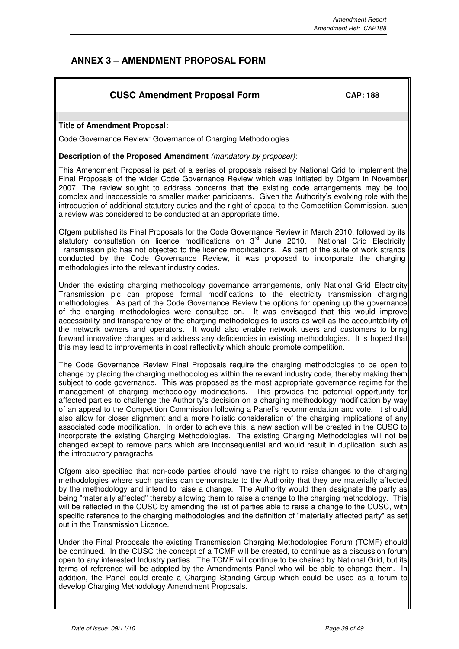# **ANNEX 3 – AMENDMENT PROPOSAL FORM**

## **CUSC Amendment Proposal Form**  $\vert$  **CAP: 188**

## **Title of Amendment Proposal:**

Code Governance Review: Governance of Charging Methodologies

## **Description of the Proposed Amendment** (mandatory by proposer):

This Amendment Proposal is part of a series of proposals raised by National Grid to implement the Final Proposals of the wider Code Governance Review which was initiated by Ofgem in November 2007. The review sought to address concerns that the existing code arrangements may be too complex and inaccessible to smaller market participants. Given the Authority's evolving role with the introduction of additional statutory duties and the right of appeal to the Competition Commission, such a review was considered to be conducted at an appropriate time.

Ofgem published its Final Proposals for the Code Governance Review in March 2010, followed by its statutory consultation on licence modifications on 3<sup>rd</sup> June 2010. National Grid Electricity Transmission plc has not objected to the licence modifications. As part of the suite of work strands conducted by the Code Governance Review, it was proposed to incorporate the charging methodologies into the relevant industry codes.

Under the existing charging methodology governance arrangements, only National Grid Electricity Transmission plc can propose formal modifications to the electricity transmission charging methodologies. As part of the Code Governance Review the options for opening up the governance of the charging methodologies were consulted on. It was envisaged that this would improve accessibility and transparency of the charging methodologies to users as well as the accountability of the network owners and operators. It would also enable network users and customers to bring forward innovative changes and address any deficiencies in existing methodologies. It is hoped that this may lead to improvements in cost reflectivity which should promote competition.

The Code Governance Review Final Proposals require the charging methodologies to be open to change by placing the charging methodologies within the relevant industry code, thereby making them subject to code governance. This was proposed as the most appropriate governance regime for the management of charging methodology modifications. This provides the potential opportunity for affected parties to challenge the Authority's decision on a charging methodology modification by way of an appeal to the Competition Commission following a Panel's recommendation and vote. It should also allow for closer alignment and a more holistic consideration of the charging implications of any associated code modification. In order to achieve this, a new section will be created in the CUSC to incorporate the existing Charging Methodologies. The existing Charging Methodologies will not be changed except to remove parts which are inconsequential and would result in duplication, such as the introductory paragraphs.

Ofgem also specified that non-code parties should have the right to raise changes to the charging methodologies where such parties can demonstrate to the Authority that they are materially affected by the methodology and intend to raise a change. The Authority would then designate the party as being "materially affected" thereby allowing them to raise a change to the charging methodology. This will be reflected in the CUSC by amending the list of parties able to raise a change to the CUSC, with specific reference to the charging methodologies and the definition of "materially affected party" as set out in the Transmission Licence.

Under the Final Proposals the existing Transmission Charging Methodologies Forum (TCMF) should be continued. In the CUSC the concept of a TCMF will be created, to continue as a discussion forum open to any interested Industry parties. The TCMF will continue to be chaired by National Grid, but its terms of reference will be adopted by the Amendments Panel who will be able to change them. In addition, the Panel could create a Charging Standing Group which could be used as a forum to develop Charging Methodology Amendment Proposals.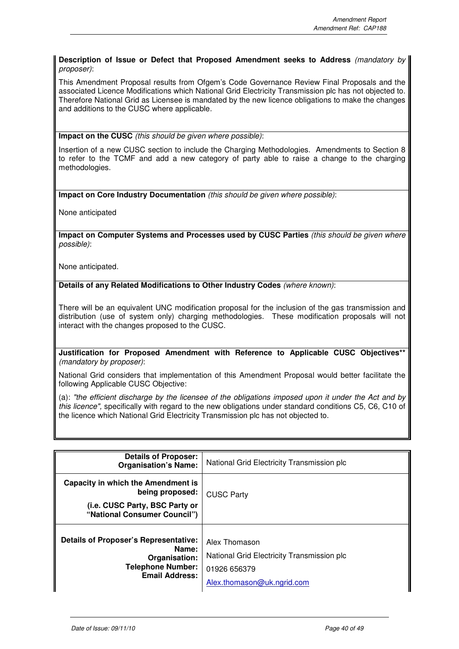## **Description of Issue or Defect that Proposed Amendment seeks to Address** (mandatory by proposer):

This Amendment Proposal results from Ofgem's Code Governance Review Final Proposals and the associated Licence Modifications which National Grid Electricity Transmission plc has not objected to. Therefore National Grid as Licensee is mandated by the new licence obligations to make the changes and additions to the CUSC where applicable.

**Impact on the CUSC** (this should be given where possible):

Insertion of a new CUSC section to include the Charging Methodologies. Amendments to Section 8 to refer to the TCMF and add a new category of party able to raise a change to the charging methodologies.

**Impact on Core Industry Documentation** (this should be given where possible):

None anticipated

**Impact on Computer Systems and Processes used by CUSC Parties** (this should be given where possible):

None anticipated.

**Details of any Related Modifications to Other Industry Codes** (where known):

There will be an equivalent UNC modification proposal for the inclusion of the gas transmission and distribution (use of system only) charging methodologies. These modification proposals will not interact with the changes proposed to the CUSC.

**Justification for Proposed Amendment with Reference to Applicable CUSC Objectives\*\*** (mandatory by proposer):

National Grid considers that implementation of this Amendment Proposal would better facilitate the following Applicable CUSC Objective:

(a): "the efficient discharge by the licensee of the obligations imposed upon it under the Act and by this licence", specifically with regard to the new obligations under standard conditions C5, C6, C10 of the licence which National Grid Electricity Transmission plc has not objected to.

| <b>Details of Proposer:</b><br><b>Organisation's Name:</b>                                                                  | National Grid Electricity Transmission plc                                                                |  |
|-----------------------------------------------------------------------------------------------------------------------------|-----------------------------------------------------------------------------------------------------------|--|
| Capacity in which the Amendment is<br>being proposed:                                                                       | <b>CUSC Party</b>                                                                                         |  |
| (i.e. CUSC Party, BSC Party or<br>"National Consumer Council")                                                              |                                                                                                           |  |
| <b>Details of Proposer's Representative:</b><br>Name:<br>Organisation:<br><b>Telephone Number:</b><br><b>Email Address:</b> | Alex Thomason<br>National Grid Electricity Transmission plc<br>01926 656379<br>Alex.thomason@uk.ngrid.com |  |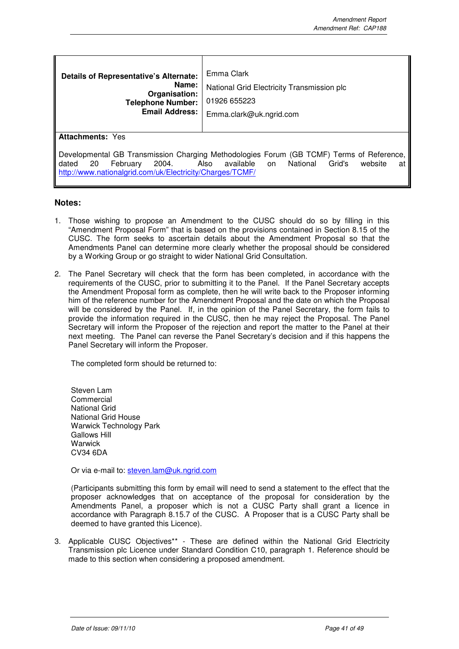| <b>Details of Representative's Alternate:</b><br>Name:<br>Organisation:<br><b>Telephone Number:</b><br><b>Email Address:</b>                                                                                                                                | Emma Clark<br>National Grid Electricity Transmission plc<br>01926 655223<br>Emma.clark@uk.ngrid.com |  |
|-------------------------------------------------------------------------------------------------------------------------------------------------------------------------------------------------------------------------------------------------------------|-----------------------------------------------------------------------------------------------------|--|
| <b>Attachments: Yes</b>                                                                                                                                                                                                                                     |                                                                                                     |  |
| Developmental GB Transmission Charging Methodologies Forum (GB TCMF) Terms of Reference,<br>National<br>dated<br>February<br>2004.<br>Also<br>available<br>-20<br>Grid's<br>website<br>on<br>at<br>http://www.nationalgrid.com/uk/Electricity/Charges/TCMF/ |                                                                                                     |  |

## **Notes:**

- 1. Those wishing to propose an Amendment to the CUSC should do so by filling in this "Amendment Proposal Form" that is based on the provisions contained in Section 8.15 of the CUSC. The form seeks to ascertain details about the Amendment Proposal so that the Amendments Panel can determine more clearly whether the proposal should be considered by a Working Group or go straight to wider National Grid Consultation.
- 2. The Panel Secretary will check that the form has been completed, in accordance with the requirements of the CUSC, prior to submitting it to the Panel. If the Panel Secretary accepts the Amendment Proposal form as complete, then he will write back to the Proposer informing him of the reference number for the Amendment Proposal and the date on which the Proposal will be considered by the Panel. If, in the opinion of the Panel Secretary, the form fails to provide the information required in the CUSC, then he may reject the Proposal. The Panel Secretary will inform the Proposer of the rejection and report the matter to the Panel at their next meeting. The Panel can reverse the Panel Secretary's decision and if this happens the Panel Secretary will inform the Proposer.

The completed form should be returned to:

Steven Lam **Commercial** National Grid National Grid House Warwick Technology Park Gallows Hill **Warwick** CV34 6DA

Or via e-mail to: steven.lam@uk.ngrid.com

(Participants submitting this form by email will need to send a statement to the effect that the proposer acknowledges that on acceptance of the proposal for consideration by the Amendments Panel, a proposer which is not a CUSC Party shall grant a licence in accordance with Paragraph 8.15.7 of the CUSC. A Proposer that is a CUSC Party shall be deemed to have granted this Licence).

3. Applicable CUSC Objectives\*\* - These are defined within the National Grid Electricity Transmission plc Licence under Standard Condition C10, paragraph 1. Reference should be made to this section when considering a proposed amendment.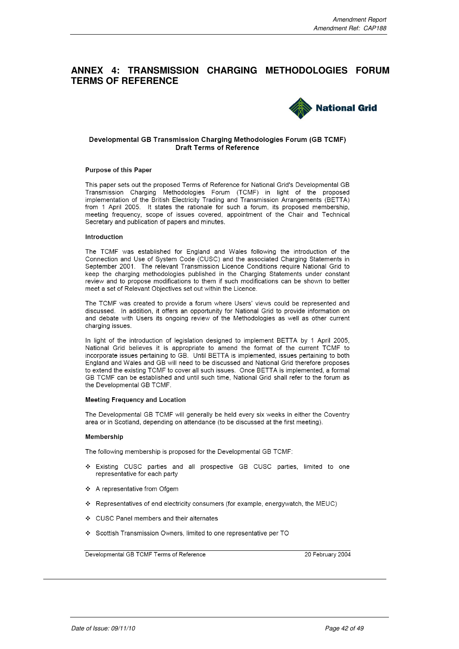## **ANNEX 4: TRANSMISSION CHARGING METHODOLOGIES FORUM TERMS OF REFERENCE**



#### Developmental GB Transmission Charging Methodologies Forum (GB TCMF) Draft Terms of Reference

#### **Purpose of this Paper**

This paper sets out the proposed Terms of Reference for National Grid's Developmental GB Transmission Charging Methodologies Forum (TCMF) in light of the proposed implementation of the British Electricity Trading and Transmission Arrangements (BETTA) from 1 April 2005. It states the rationale for such a forum, its proposed membership, meeting frequency, scope of issues covered, appointment of the Chair and Technical Secretary and publication of papers and minutes.

#### Introduction

The TCMF was established for England and Wales following the introduction of the Connection and Use of System Code (CUSC) and the associated Charging Statements in September 2001. The relevant Transmission Licence Conditions require National Grid to keep the charging methodologies published in the Charging Statements under constant review and to propose modifications to them if such modifications can be shown to better meet a set of Relevant Objectives set out within the Licence.

The TCMF was created to provide a forum where Users' views could be represented and discussed. In addition, it offers an opportunity for National Grid to provide information on and debate with Users its ongoing review of the Methodologies as well as other current charging issues.

In light of the introduction of legislation designed to implement BETTA by 1 April 2005, National Grid believes it is appropriate to amend the format of the current TCMF to incorporate issues pertaining to GB. Until BETTA is implemented, issues pertaining to both England and Wales and GB will need to be discussed and National Grid therefore proposes to extend the existing TCMF to cover all such issues. Once BETTA is implemented, a formal GB TCMF can be established and until such time, National Grid shall refer to the forum as the Developmental GB TCMF.

#### **Meeting Frequency and Location**

The Developmental GB TCMF will generally be held every six weeks in either the Coventry area or in Scotland, depending on attendance (to be discussed at the first meeting).

#### **Membership**

The following membership is proposed for the Developmental GB TCMF:

- \* Existing CUSC parties and all prospective GB CUSC parties, limited to one representative for each party
- ❖ A representative from Ofgem
- ❖ Representatives of end electricity consumers (for example, energywatch, the MEUC)
- ❖ CUSC Panel members and their alternates
- ❖ Scottish Transmission Owners, limited to one representative per TO

Developmental GB TCMF Terms of Reference

20 February 2004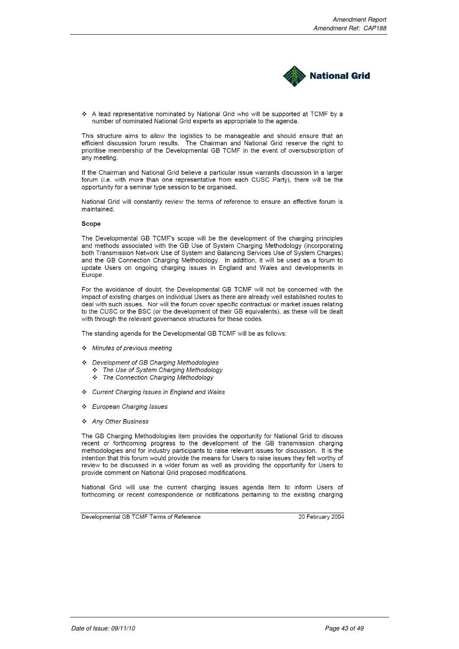

A lead representative nominated by National Grid who will be supported at TCMF by a number of nominated National Grid experts as appropriate to the agenda.

This structure aims to allow the logistics to be manageable and should ensure that an efficient discussion forum results. The Chairman and National Grid reserve the right to prioritise membership of the Developmental GB TCMF in the event of oversubscription of any meeting.

If the Chairman and National Grid believe a particular issue warrants discussion in a larger forum (i.e. with more than one representative from each CUSC Party), there will be the opportunity for a seminar type session to be organised.

National Grid will constantly review the terms of reference to ensure an effective forum is maintained

#### Scope

The Developmental GB TCMF's scope will be the development of the charging principles and methods associated with the GB Use of System Charging Methodology (incorporating both Transmission Network Use of System and Balancing Services Use of System Charges) and the GB Connection Charging Methodology. In addition, it will be used as a forum to update Users on ongoing charging issues in England and Wales and developments in Europe.

For the avoidance of doubt, the Developmental GB TCMF will not be concerned with the impact of existing charges on individual Users as there are already well established routes to deal with such issues. Nor will the forum cover specific contractual or market issues relating to the CUSC or the BSC (or the development of their GB equivalents), as these will be dealt with through the relevant governance structures for these codes.

The standing agenda for the Developmental GB TCMF will be as follows:

- Minutes of previous meeting
- Development of GB Charging Methodologies
	- \* The Use of System Charging Methodology
	- \* The Connection Charging Methodology
- ❖ Current Charging Issues in England and Wales
- ❖ European Charging Issues
- ❖ Any Other Business

The GB Charging Methodologies item provides the opportunity for National Grid to discuss recent or forthcoming progress to the development of the GB transmission charging methodologies and for industry participants to raise relevant issues for discussion. It is the intention that this forum would provide the means for Users to raise issues they felt worthy of review to be discussed in a wider forum as well as providing the opportunity for Users to provide comment on National Grid proposed modifications.

National Grid will use the current charging issues agenda item to inform Users of forthcoming or recent correspondence or notifications pertaining to the existing charging

Developmental GB TCMF Terms of Reference

20 February 2004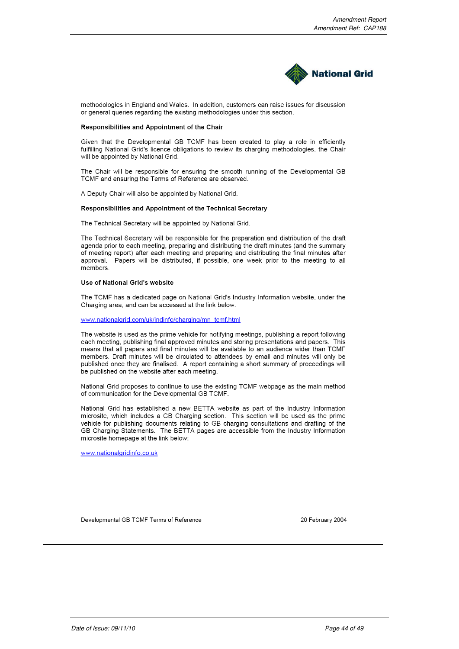

methodologies in England and Wales. In addition, customers can raise issues for discussion or general queries regarding the existing methodologies under this section.

#### Responsibilities and Appointment of the Chair

Given that the Developmental GB TCMF has been created to play a role in efficiently fulfilling National Grid's licence obligations to review its charging methodologies, the Chair will be appointed by National Grid.

The Chair will be responsible for ensuring the smooth running of the Developmental GB TCMF and ensuring the Terms of Reference are observed.

A Deputy Chair will also be appointed by National Grid.

#### Responsibilities and Appointment of the Technical Secretary

The Technical Secretary will be appointed by National Grid.

The Technical Secretary will be responsible for the preparation and distribution of the draft agenda prior to each meeting, preparing and distributing the draft minutes (and the summary of meeting report) after each meeting and preparing and distributing the final minutes after approval. Papers will be distributed, if possible, one week prior to the meeting to all members.

### Use of National Grid's website

The TCMF has a dedicated page on National Grid's Industry Information website, under the Charging area, and can be accessed at the link below.

#### www.nationalgrid.com/uk/indinfo/charging/mn\_tcmf.html

The website is used as the prime vehicle for notifying meetings, publishing a report following each meeting, publishing final approved minutes and storing presentations and papers. This means that all papers and final minutes will be available to an audience wider than TCMF members. Draft minutes will be circulated to attendees by email and minutes will only be published once they are finalised. A report containing a short summary of proceedings will be published on the website after each meeting.

National Grid proposes to continue to use the existing TCMF webpage as the main method of communication for the Developmental GB TCMF.

National Grid has established a new BETTA website as part of the Industry Information microsite, which includes a GB Charging section. This section will be used as the prime vehicle for publishing documents relating to GB charging consultations and drafting of the GB Charging Statements. The BETTA pages are accessible from the Industry Information microsite homepage at the link below:

www.nationalgridinfo.co.uk

Developmental GB TCMF Terms of Reference

20 February 2004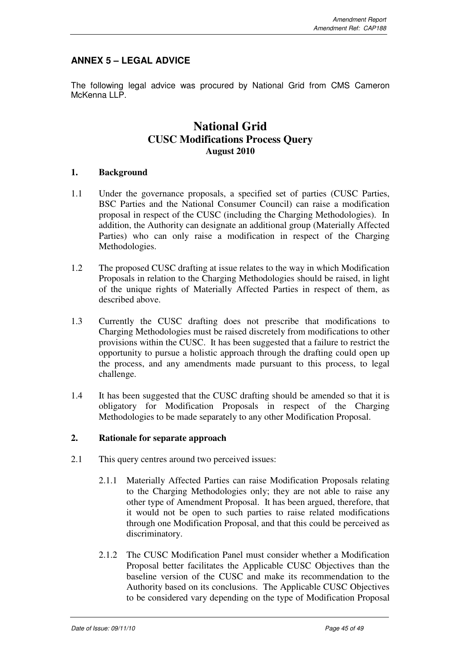# **ANNEX 5 – LEGAL ADVICE**

The following legal advice was procured by National Grid from CMS Cameron McKenna LLP.

# **National Grid CUSC Modifications Process Query August 2010**

## **1. Background**

- 1.1 Under the governance proposals, a specified set of parties (CUSC Parties, BSC Parties and the National Consumer Council) can raise a modification proposal in respect of the CUSC (including the Charging Methodologies). In addition, the Authority can designate an additional group (Materially Affected Parties) who can only raise a modification in respect of the Charging Methodologies.
- 1.2 The proposed CUSC drafting at issue relates to the way in which Modification Proposals in relation to the Charging Methodologies should be raised, in light of the unique rights of Materially Affected Parties in respect of them, as described above.
- 1.3 Currently the CUSC drafting does not prescribe that modifications to Charging Methodologies must be raised discretely from modifications to other provisions within the CUSC. It has been suggested that a failure to restrict the opportunity to pursue a holistic approach through the drafting could open up the process, and any amendments made pursuant to this process, to legal challenge.
- 1.4 It has been suggested that the CUSC drafting should be amended so that it is obligatory for Modification Proposals in respect of the Charging Methodologies to be made separately to any other Modification Proposal.

## **2. Rationale for separate approach**

- 2.1 This query centres around two perceived issues:
	- 2.1.1 Materially Affected Parties can raise Modification Proposals relating to the Charging Methodologies only; they are not able to raise any other type of Amendment Proposal. It has been argued, therefore, that it would not be open to such parties to raise related modifications through one Modification Proposal, and that this could be perceived as discriminatory.
	- 2.1.2 The CUSC Modification Panel must consider whether a Modification Proposal better facilitates the Applicable CUSC Objectives than the baseline version of the CUSC and make its recommendation to the Authority based on its conclusions. The Applicable CUSC Objectives to be considered vary depending on the type of Modification Proposal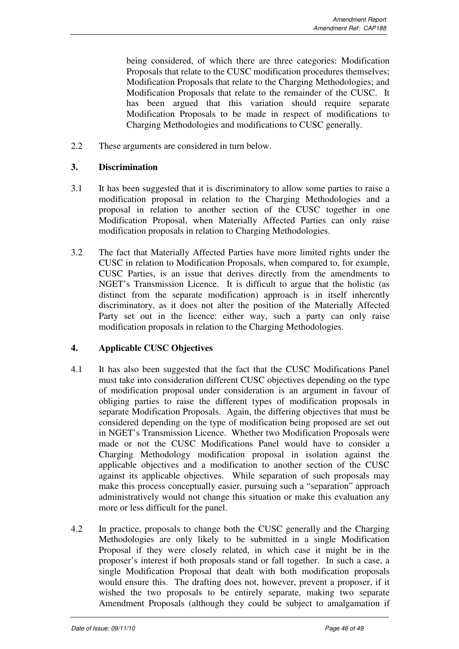being considered, of which there are three categories: Modification Proposals that relate to the CUSC modification procedures themselves; Modification Proposals that relate to the Charging Methodologies; and Modification Proposals that relate to the remainder of the CUSC. It has been argued that this variation should require separate Modification Proposals to be made in respect of modifications to Charging Methodologies and modifications to CUSC generally.

2.2 These arguments are considered in turn below.

## **3. Discrimination**

- 3.1 It has been suggested that it is discriminatory to allow some parties to raise a modification proposal in relation to the Charging Methodologies and a proposal in relation to another section of the CUSC together in one Modification Proposal, when Materially Affected Parties can only raise modification proposals in relation to Charging Methodologies.
- 3.2 The fact that Materially Affected Parties have more limited rights under the CUSC in relation to Modification Proposals, when compared to, for example, CUSC Parties, is an issue that derives directly from the amendments to NGET's Transmission Licence. It is difficult to argue that the holistic (as distinct from the separate modification) approach is in itself inherently discriminatory, as it does not alter the position of the Materially Affected Party set out in the licence: either way, such a party can only raise modification proposals in relation to the Charging Methodologies.

## **4. Applicable CUSC Objectives**

- 4.1 It has also been suggested that the fact that the CUSC Modifications Panel must take into consideration different CUSC objectives depending on the type of modification proposal under consideration is an argument in favour of obliging parties to raise the different types of modification proposals in separate Modification Proposals. Again, the differing objectives that must be considered depending on the type of modification being proposed are set out in NGET's Transmission Licence. Whether two Modification Proposals were made or not the CUSC Modifications Panel would have to consider a Charging Methodology modification proposal in isolation against the applicable objectives and a modification to another section of the CUSC against its applicable objectives. While separation of such proposals may make this process conceptually easier, pursuing such a "separation" approach administratively would not change this situation or make this evaluation any more or less difficult for the panel.
- 4.2 In practice, proposals to change both the CUSC generally and the Charging Methodologies are only likely to be submitted in a single Modification Proposal if they were closely related, in which case it might be in the proposer's interest if both proposals stand or fall together. In such a case, a single Modification Proposal that dealt with both modification proposals would ensure this. The drafting does not, however, prevent a proposer, if it wished the two proposals to be entirely separate, making two separate Amendment Proposals (although they could be subject to amalgamation if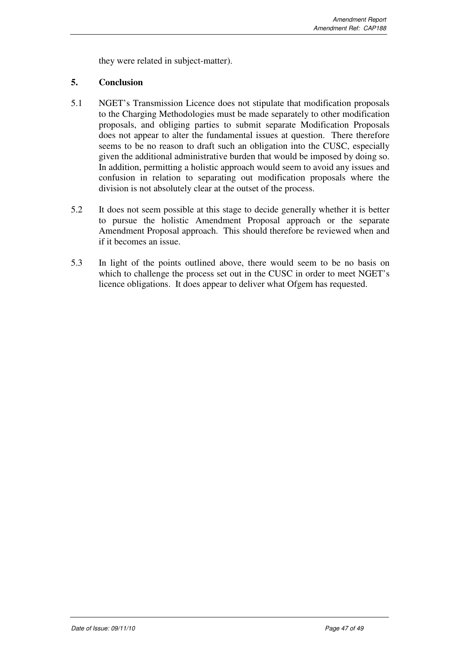they were related in subject-matter).

## **5. Conclusion**

- 5.1 NGET's Transmission Licence does not stipulate that modification proposals to the Charging Methodologies must be made separately to other modification proposals, and obliging parties to submit separate Modification Proposals does not appear to alter the fundamental issues at question. There therefore seems to be no reason to draft such an obligation into the CUSC, especially given the additional administrative burden that would be imposed by doing so. In addition, permitting a holistic approach would seem to avoid any issues and confusion in relation to separating out modification proposals where the division is not absolutely clear at the outset of the process.
- 5.2 It does not seem possible at this stage to decide generally whether it is better to pursue the holistic Amendment Proposal approach or the separate Amendment Proposal approach. This should therefore be reviewed when and if it becomes an issue.
- 5.3 In light of the points outlined above, there would seem to be no basis on which to challenge the process set out in the CUSC in order to meet NGET's licence obligations. It does appear to deliver what Ofgem has requested.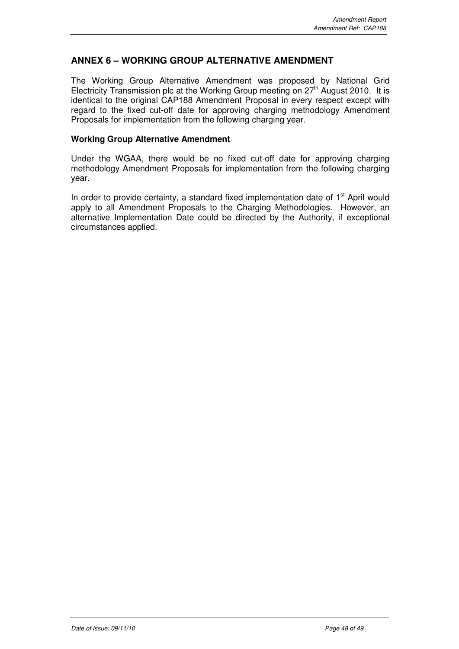## **ANNEX 6 – WORKING GROUP ALTERNATIVE AMENDMENT**

The Working Group Alternative Amendment was proposed by National Grid Electricity Transmission plc at the Working Group meeting on  $27<sup>th</sup>$  August 2010. It is identical to the original CAP188 Amendment Proposal in every respect except with regard to the fixed cut-off date for approving charging methodology Amendment Proposals for implementation from the following charging year.

## **Working Group Alternative Amendment**

Under the WGAA, there would be no fixed cut-off date for approving charging methodology Amendment Proposals for implementation from the following charging year.

In order to provide certainty, a standard fixed implementation date of  $1<sup>st</sup>$  April would apply to all Amendment Proposals to the Charging Methodologies. However, an alternative Implementation Date could be directed by the Authority, if exceptional circumstances applied.